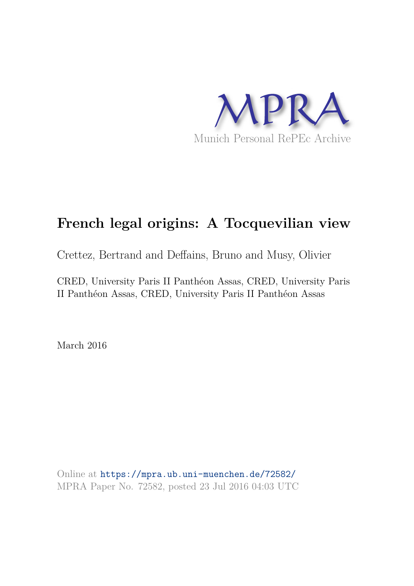

# **French legal origins: A Tocquevilian view**

Crettez, Bertrand and Deffains, Bruno and Musy, Olivier

CRED, University Paris II Panthéon Assas, CRED, University Paris II Panthéon Assas, CRED, University Paris II Panthéon Assas

March 2016

Online at https://mpra.ub.uni-muenchen.de/72582/ MPRA Paper No. 72582, posted 23 Jul 2016 04:03 UTC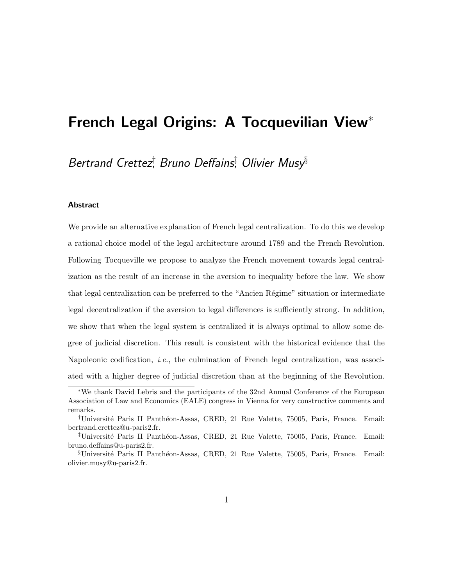## French Legal Origins: A Tocquevilian View<sup>∗</sup>

Bertrand Crettez<sup>†</sup>, Bruno Deffains‡ Olivier Musy<sup>§</sup>

#### **Abstract**

We provide an alternative explanation of French legal centralization. To do this we develop a rational choice model of the legal architecture around 1789 and the French Revolution. Following Tocqueville we propose to analyze the French movement towards legal centralization as the result of an increase in the aversion to inequality before the law. We show that legal centralization can be preferred to the "Ancien Régime" situation or intermediate legal decentralization if the aversion to legal differences is sufficiently strong. In addition, we show that when the legal system is centralized it is always optimal to allow some degree of judicial discretion. This result is consistent with the historical evidence that the Napoleonic codification, i.e., the culmination of French legal centralization, was associated with a higher degree of judicial discretion than at the beginning of the Revolution.

<sup>∗</sup>We thank David Lebris and the participants of the 32nd Annual Conference of the European Association of Law and Economics (EALE) congress in Vienna for very constructive comments and remarks.

<sup>&</sup>lt;sup>†</sup>Université Paris II Panthéon-Assas, CRED, 21 Rue Valette, 75005, Paris, France. Email: bertrand.crettez@u-paris2.fr.

<sup>&</sup>lt;sup>‡</sup>Université Paris II Panthéon-Assas, CRED, 21 Rue Valette, 75005, Paris, France. Email: bruno.deffains@u-paris2.fr.

<sup>&</sup>lt;sup>§</sup>Université Paris II Panthéon-Assas, CRED, 21 Rue Valette, 75005, Paris, France. Email: olivier.musy@u-paris2.fr.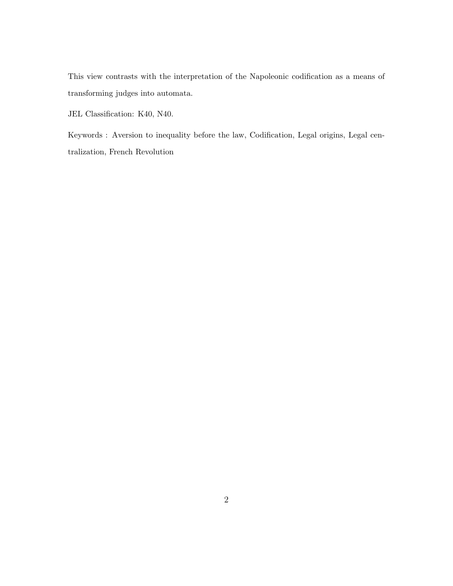This view contrasts with the interpretation of the Napoleonic codification as a means of transforming judges into automata.

JEL Classification: K40, N40.

Keywords : Aversion to inequality before the law, Codification, Legal origins, Legal centralization, French Revolution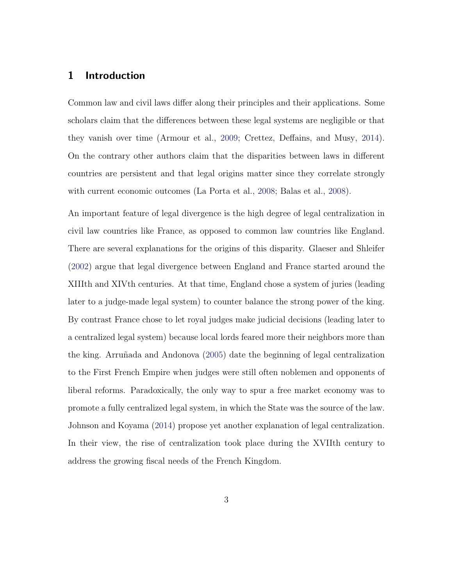#### 1 Introduction

Common law and civil laws differ along their principles and their applications. Some scholars claim that the differences between these legal systems are negligible or that they vanish over time (Armour et al., 2009; Crettez, Deffains, and Musy, 2014). On the contrary other authors claim that the disparities between laws in different countries are persistent and that legal origins matter since they correlate strongly with current economic outcomes (La Porta et al., 2008; Balas et al., 2008).

An important feature of legal divergence is the high degree of legal centralization in civil law countries like France, as opposed to common law countries like England. There are several explanations for the origins of this disparity. Glaeser and Shleifer (2002) argue that legal divergence between England and France started around the XIIIth and XIVth centuries. At that time, England chose a system of juries (leading later to a judge-made legal system) to counter balance the strong power of the king. By contrast France chose to let royal judges make judicial decisions (leading later to a centralized legal system) because local lords feared more their neighbors more than the king. Arruñada and Andonova (2005) date the beginning of legal centralization to the First French Empire when judges were still often noblemen and opponents of liberal reforms. Paradoxically, the only way to spur a free market economy was to promote a fully centralized legal system, in which the State was the source of the law. Johnson and Koyama (2014) propose yet another explanation of legal centralization. In their view, the rise of centralization took place during the XVIIth century to address the growing fiscal needs of the French Kingdom.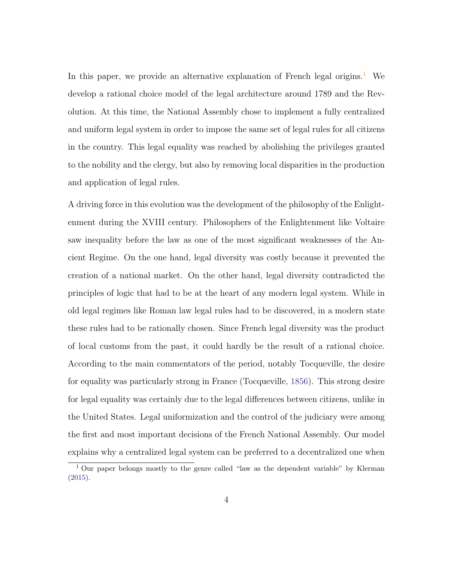In this paper, we provide an alternative explanation of French legal origins.<sup>1</sup> We develop a rational choice model of the legal architecture around 1789 and the Revolution. At this time, the National Assembly chose to implement a fully centralized and uniform legal system in order to impose the same set of legal rules for all citizens in the country. This legal equality was reached by abolishing the privileges granted to the nobility and the clergy, but also by removing local disparities in the production and application of legal rules.

A driving force in this evolution was the development of the philosophy of the Enlightenment during the XVIII century. Philosophers of the Enlightenment like Voltaire saw inequality before the law as one of the most significant weaknesses of the Ancient Regime. On the one hand, legal diversity was costly because it prevented the creation of a national market. On the other hand, legal diversity contradicted the principles of logic that had to be at the heart of any modern legal system. While in old legal regimes like Roman law legal rules had to be discovered, in a modern state these rules had to be rationally chosen. Since French legal diversity was the product of local customs from the past, it could hardly be the result of a rational choice. According to the main commentators of the period, notably Tocqueville, the desire for equality was particularly strong in France (Tocqueville, 1856). This strong desire for legal equality was certainly due to the legal differences between citizens, unlike in the United States. Legal uniformization and the control of the judiciary were among the first and most important decisions of the French National Assembly. Our model explains why a centralized legal system can be preferred to a decentralized one when

<sup>1</sup> Our paper belongs mostly to the genre called "law as the dependent variable" by Klerman (2015).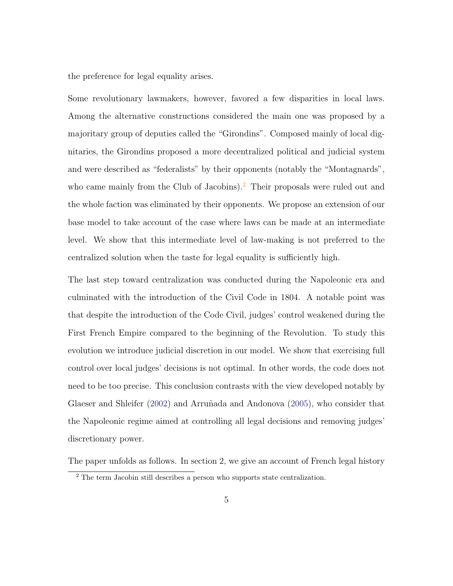the preference for legal equality arises.

Some revolutionary lawmakers, however, favored a few disparities in local laws. Among the alternative constructions considered the main one was proposed by a majoritary group of deputies called the "Girondins". Composed mainly of local dignitaries, the Girondins proposed a more decentralized political and judicial system and were described as "federalists" by their opponents (notably the "Montagnards", who came mainly from the Club of Jacobins).<sup>2</sup> Their proposals were ruled out and the whole faction was eliminated by their opponents. We propose an extension of our base model to take account of the case where laws can be made at an intermediate level. We show that this intermediate level of law-making is not preferred to the centralized solution when the taste for legal equality is sufficiently high.

The last step toward centralization was conducted during the Napoleonic era and culminated with the introduction of the Civil Code in 1804. A notable point was that despite the introduction of the Code Civil, judges' control weakened during the First French Empire compared to the beginning of the Revolution. To study this evolution we introduce judicial discretion in our model. We show that exercising full control over local judges' decisions is not optimal. In other words, the code does not need to be too precise. This conclusion contrasts with the view developed notably by Glaeser and Shleifer  $(2002)$  and Arruñada and Andonova  $(2005)$ , who consider that the Napoleonic regime aimed at controlling all legal decisions and removing judges' discretionary power.

The paper unfolds as follows. In section 2, we give an account of French legal history

<sup>2</sup> The term Jacobin still describes a person who supports state centralization.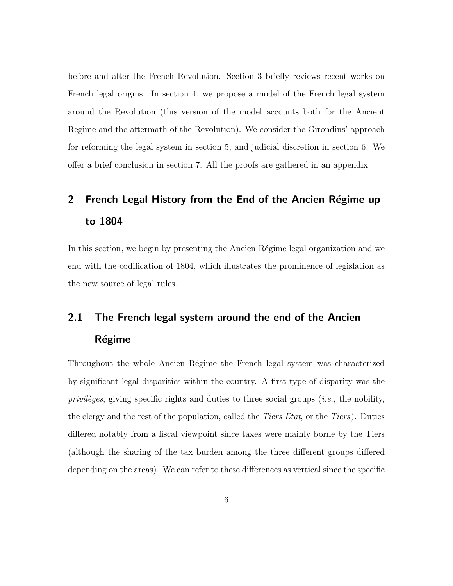before and after the French Revolution. Section 3 briefly reviews recent works on French legal origins. In section 4, we propose a model of the French legal system around the Revolution (this version of the model accounts both for the Ancient Regime and the aftermath of the Revolution). We consider the Girondins' approach for reforming the legal system in section 5, and judicial discretion in section 6. We offer a brief conclusion in section 7. All the proofs are gathered in an appendix.

# 2 French Legal History from the End of the Ancien Régime up to 1804

In this section, we begin by presenting the Ancien Régime legal organization and we end with the codification of 1804, which illustrates the prominence of legislation as the new source of legal rules.

## 2.1 The French legal system around the end of the Ancien Régime

Throughout the whole Ancien Régime the French legal system was characterized by significant legal disparities within the country. A first type of disparity was the privileges, giving specific rights and duties to three social groups (*i.e.*, the nobility, the clergy and the rest of the population, called the *Tiers Etat*, or the *Tiers*). Duties differed notably from a fiscal viewpoint since taxes were mainly borne by the Tiers (although the sharing of the tax burden among the three different groups differed depending on the areas). We can refer to these differences as vertical since the specific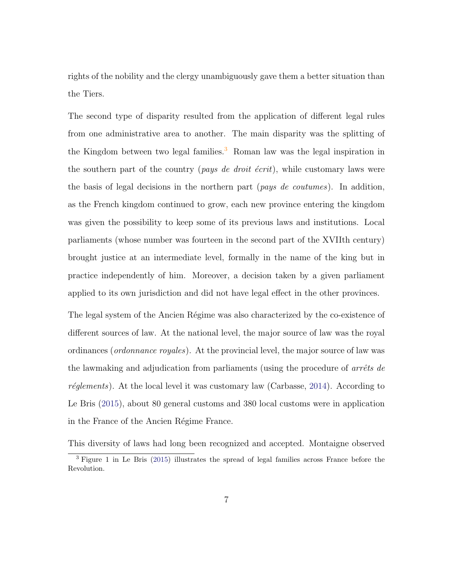rights of the nobility and the clergy unambiguously gave them a better situation than the Tiers.

The second type of disparity resulted from the application of different legal rules from one administrative area to another. The main disparity was the splitting of the Kingdom between two legal families.<sup>3</sup> Roman law was the legal inspiration in the southern part of the country (*pays de droit écrit*), while customary laws were the basis of legal decisions in the northern part (pays de coutumes). In addition, as the French kingdom continued to grow, each new province entering the kingdom was given the possibility to keep some of its previous laws and institutions. Local parliaments (whose number was fourteen in the second part of the XVIIth century) brought justice at an intermediate level, formally in the name of the king but in practice independently of him. Moreover, a decision taken by a given parliament applied to its own jurisdiction and did not have legal effect in the other provinces.

The legal system of the Ancien Régime was also characterized by the co-existence of different sources of law. At the national level, the major source of law was the royal ordinances (ordonnance royales). At the provincial level, the major source of law was the lawmaking and adjudication from parliaments (using the procedure of  $arrêts$  de  $r\acute{e}glements$ ). At the local level it was customary law (Carbasse, 2014). According to Le Bris (2015), about 80 general customs and 380 local customs were in application in the France of the Ancien Régime France.

This diversity of laws had long been recognized and accepted. Montaigne observed

<sup>3</sup> Figure 1 in Le Bris (2015) illustrates the spread of legal families across France before the Revolution.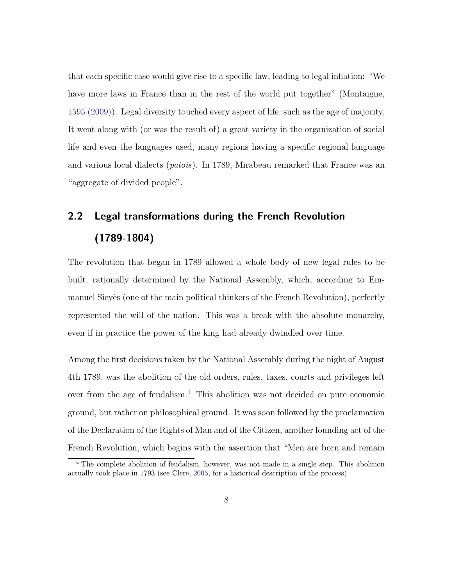that each specific case would give rise to a specific law, leading to legal inflation: "We have more laws in France than in the rest of the world put together" (Montaigne, 1595 (2009)). Legal diversity touched every aspect of life, such as the age of majority. It went along with (or was the result of) a great variety in the organization of social life and even the languages used, many regions having a specific regional language and various local dialects (patois). In 1789, Mirabeau remarked that France was an "aggregate of divided people".

## 2.2 Legal transformations during the French Revolution (1789-1804)

The revolution that began in 1789 allowed a whole body of new legal rules to be built, rationally determined by the National Assembly, which, according to Emmanuel Sieyès (one of the main political thinkers of the French Revolution), perfectly represented the will of the nation. This was a break with the absolute monarchy, even if in practice the power of the king had already dwindled over time.

Among the first decisions taken by the National Assembly during the night of August 4th 1789, was the abolition of the old orders, rules, taxes, courts and privileges left over from the age of feudalism.<sup>4</sup> This abolition was not decided on pure economic ground, but rather on philosophical ground. It was soon followed by the proclamation of the Declaration of the Rights of Man and of the Citizen, another founding act of the French Revolution, which begins with the assertion that "Men are born and remain

<sup>&</sup>lt;sup>4</sup> The complete abolition of feudalism, however, was not made in a single step. This abolition actually took place in 1793 (see Clere, 2005, for a historical description of the process).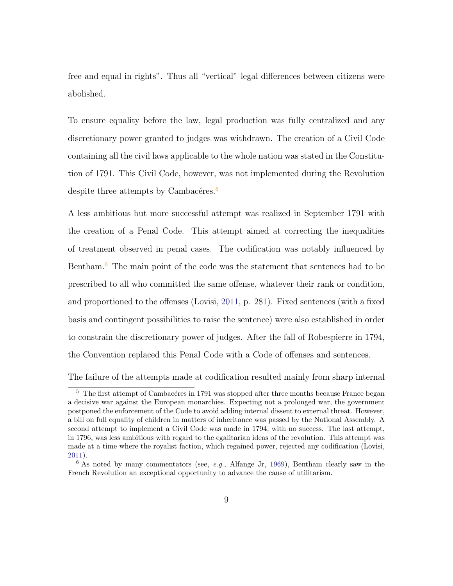free and equal in rights". Thus all "vertical" legal differences between citizens were abolished.

To ensure equality before the law, legal production was fully centralized and any discretionary power granted to judges was withdrawn. The creation of a Civil Code containing all the civil laws applicable to the whole nation was stated in the Constitution of 1791. This Civil Code, however, was not implemented during the Revolution despite three attempts by Cambacéres.<sup>5</sup>

A less ambitious but more successful attempt was realized in September 1791 with the creation of a Penal Code. This attempt aimed at correcting the inequalities of treatment observed in penal cases. The codification was notably influenced by Bentham.<sup>6</sup> The main point of the code was the statement that sentences had to be prescribed to all who committed the same offense, whatever their rank or condition, and proportioned to the offenses (Lovisi, 2011, p. 281). Fixed sentences (with a fixed basis and contingent possibilities to raise the sentence) were also established in order to constrain the discretionary power of judges. After the fall of Robespierre in 1794, the Convention replaced this Penal Code with a Code of offenses and sentences.

The failure of the attempts made at codification resulted mainly from sharp internal

 $5$  The first attempt of Cambacéres in 1791 was stopped after three months because France began a decisive war against the European monarchies. Expecting not a prolonged war, the government postponed the enforcement of the Code to avoid adding internal dissent to external threat. However, a bill on full equality of children in matters of inheritance was passed by the National Assembly. A second attempt to implement a Civil Code was made in 1794, with no success. The last attempt, in 1796, was less ambitious with regard to the egalitarian ideas of the revolution. This attempt was made at a time where the royalist faction, which regained power, rejected any codification (Lovisi, 2011).

 $6$  As noted by many commentators (see, *e.g.*, Alfange Jr, 1969), Bentham clearly saw in the French Revolution an exceptional opportunity to advance the cause of utilitarism.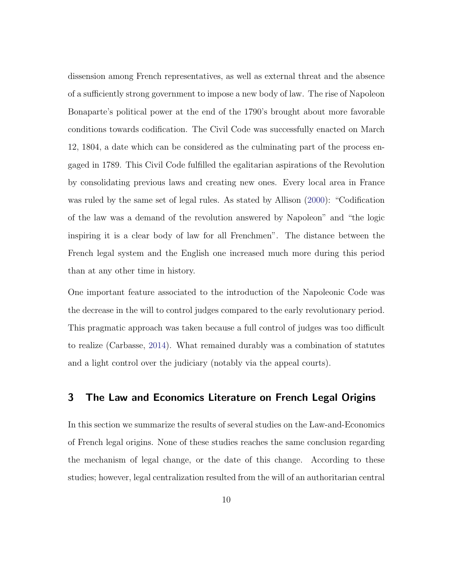dissension among French representatives, as well as external threat and the absence of a sufficiently strong government to impose a new body of law. The rise of Napoleon Bonaparte's political power at the end of the 1790's brought about more favorable conditions towards codification. The Civil Code was successfully enacted on March 12, 1804, a date which can be considered as the culminating part of the process engaged in 1789. This Civil Code fulfilled the egalitarian aspirations of the Revolution by consolidating previous laws and creating new ones. Every local area in France was ruled by the same set of legal rules. As stated by Allison (2000): "Codification of the law was a demand of the revolution answered by Napoleon" and "the logic inspiring it is a clear body of law for all Frenchmen". The distance between the French legal system and the English one increased much more during this period than at any other time in history.

One important feature associated to the introduction of the Napoleonic Code was the decrease in the will to control judges compared to the early revolutionary period. This pragmatic approach was taken because a full control of judges was too difficult to realize (Carbasse, 2014). What remained durably was a combination of statutes and a light control over the judiciary (notably via the appeal courts).

#### 3 The Law and Economics Literature on French Legal Origins

In this section we summarize the results of several studies on the Law-and-Economics of French legal origins. None of these studies reaches the same conclusion regarding the mechanism of legal change, or the date of this change. According to these studies; however, legal centralization resulted from the will of an authoritarian central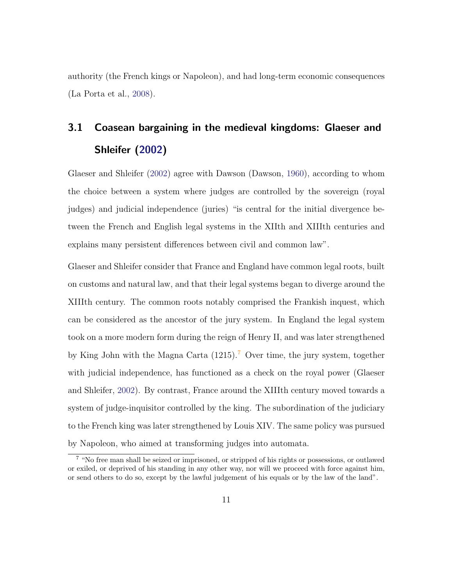authority (the French kings or Napoleon), and had long-term economic consequences (La Porta et al., 2008).

# 3.1 Coasean bargaining in the medieval kingdoms: Glaeser and Shleifer (2002)

Glaeser and Shleifer (2002) agree with Dawson (Dawson, 1960), according to whom the choice between a system where judges are controlled by the sovereign (royal judges) and judicial independence (juries) "is central for the initial divergence between the French and English legal systems in the XIIth and XIIIth centuries and explains many persistent differences between civil and common law".

Glaeser and Shleifer consider that France and England have common legal roots, built on customs and natural law, and that their legal systems began to diverge around the XIIIth century. The common roots notably comprised the Frankish inquest, which can be considered as the ancestor of the jury system. In England the legal system took on a more modern form during the reign of Henry II, and was later strengthened by King John with the Magna Carta  $(1215)^7$  Over time, the jury system, together with judicial independence, has functioned as a check on the royal power (Glaeser and Shleifer, 2002). By contrast, France around the XIIIth century moved towards a system of judge-inquisitor controlled by the king. The subordination of the judiciary to the French king was later strengthened by Louis XIV. The same policy was pursued by Napoleon, who aimed at transforming judges into automata.

 $\frac{7}{4}$  "No free man shall be seized or imprisoned, or stripped of his rights or possessions, or outlawed or exiled, or deprived of his standing in any other way, nor will we proceed with force against him, or send others to do so, except by the lawful judgement of his equals or by the law of the land".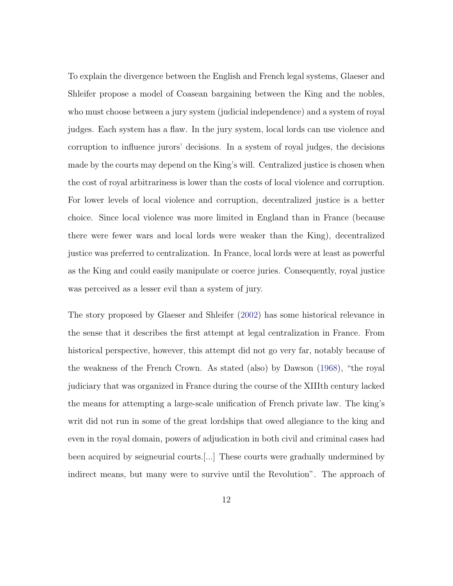To explain the divergence between the English and French legal systems, Glaeser and Shleifer propose a model of Coasean bargaining between the King and the nobles, who must choose between a jury system (judicial independence) and a system of royal judges. Each system has a flaw. In the jury system, local lords can use violence and corruption to influence jurors' decisions. In a system of royal judges, the decisions made by the courts may depend on the King's will. Centralized justice is chosen when the cost of royal arbitrariness is lower than the costs of local violence and corruption. For lower levels of local violence and corruption, decentralized justice is a better choice. Since local violence was more limited in England than in France (because there were fewer wars and local lords were weaker than the King), decentralized justice was preferred to centralization. In France, local lords were at least as powerful as the King and could easily manipulate or coerce juries. Consequently, royal justice was perceived as a lesser evil than a system of jury.

The story proposed by Glaeser and Shleifer (2002) has some historical relevance in the sense that it describes the first attempt at legal centralization in France. From historical perspective, however, this attempt did not go very far, notably because of the weakness of the French Crown. As stated (also) by Dawson (1968), "the royal judiciary that was organized in France during the course of the XIIIth century lacked the means for attempting a large-scale unification of French private law. The king's writ did not run in some of the great lordships that owed allegiance to the king and even in the royal domain, powers of adjudication in both civil and criminal cases had been acquired by seigneurial courts.[...] These courts were gradually undermined by indirect means, but many were to survive until the Revolution". The approach of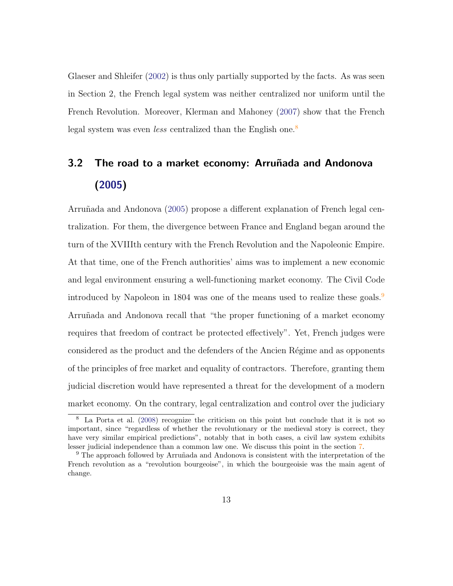Glaeser and Shleifer (2002) is thus only partially supported by the facts. As was seen in Section 2, the French legal system was neither centralized nor uniform until the French Revolution. Moreover, Klerman and Mahoney (2007) show that the French legal system was even *less* centralized than the English one.<sup>8</sup>

## 3.2 The road to a market economy: Arruñada and Andonova (2005)

Arruñada and Andonova (2005) propose a different explanation of French legal centralization. For them, the divergence between France and England began around the turn of the XVIIIth century with the French Revolution and the Napoleonic Empire. At that time, one of the French authorities' aims was to implement a new economic and legal environment ensuring a well-functioning market economy. The Civil Code introduced by Napoleon in 1804 was one of the means used to realize these goals.<sup>9</sup> Arruñada and Andonova recall that "the proper functioning of a market economy requires that freedom of contract be protected effectively". Yet, French judges were considered as the product and the defenders of the Ancien R´egime and as opponents of the principles of free market and equality of contractors. Therefore, granting them judicial discretion would have represented a threat for the development of a modern market economy. On the contrary, legal centralization and control over the judiciary

<sup>8</sup> La Porta et al. (2008) recognize the criticism on this point but conclude that it is not so important, since "regardless of whether the revolutionary or the medieval story is correct, they have very similar empirical predictions", notably that in both cases, a civil law system exhibits lesser judicial independence than a common law one. We discuss this point in the section 7.

<sup>&</sup>lt;sup>9</sup> The approach followed by Arruñada and Andonova is consistent with the interpretation of the French revolution as a "revolution bourgeoise", in which the bourgeoisie was the main agent of change.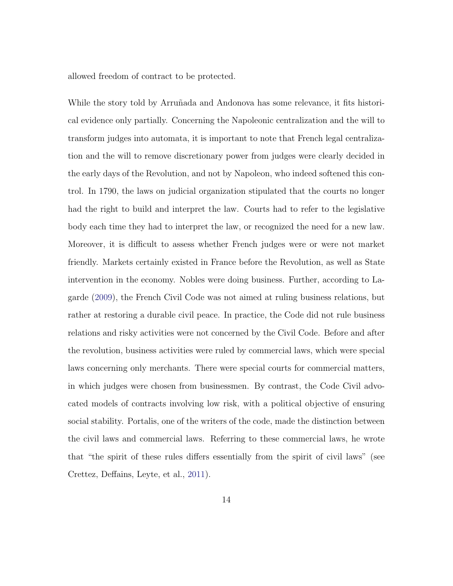allowed freedom of contract to be protected.

While the story told by Arruñada and Andonova has some relevance, it fits historical evidence only partially. Concerning the Napoleonic centralization and the will to transform judges into automata, it is important to note that French legal centralization and the will to remove discretionary power from judges were clearly decided in the early days of the Revolution, and not by Napoleon, who indeed softened this control. In 1790, the laws on judicial organization stipulated that the courts no longer had the right to build and interpret the law. Courts had to refer to the legislative body each time they had to interpret the law, or recognized the need for a new law. Moreover, it is difficult to assess whether French judges were or were not market friendly. Markets certainly existed in France before the Revolution, as well as State intervention in the economy. Nobles were doing business. Further, according to Lagarde (2009), the French Civil Code was not aimed at ruling business relations, but rather at restoring a durable civil peace. In practice, the Code did not rule business relations and risky activities were not concerned by the Civil Code. Before and after the revolution, business activities were ruled by commercial laws, which were special laws concerning only merchants. There were special courts for commercial matters, in which judges were chosen from businessmen. By contrast, the Code Civil advocated models of contracts involving low risk, with a political objective of ensuring social stability. Portalis, one of the writers of the code, made the distinction between the civil laws and commercial laws. Referring to these commercial laws, he wrote that "the spirit of these rules differs essentially from the spirit of civil laws" (see Crettez, Deffains, Leyte, et al., 2011).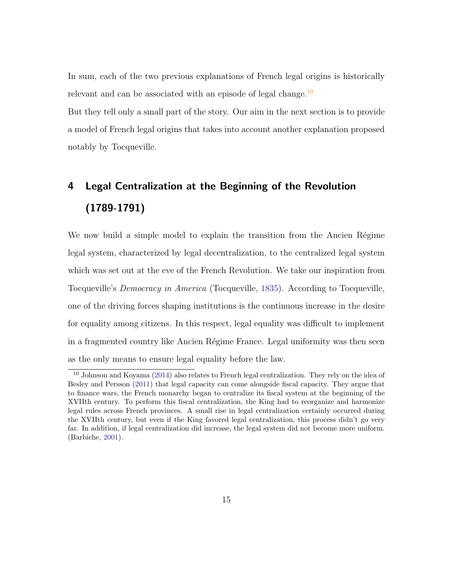In sum, each of the two previous explanations of French legal origins is historically relevant and can be associated with an episode of legal change.<sup>10</sup>

But they tell only a small part of the story. Our aim in the next section is to provide a model of French legal origins that takes into account another explanation proposed notably by Tocqueville.

## 4 Legal Centralization at the Beginning of the Revolution (1789-1791)

We now build a simple model to explain the transition from the Ancien Régime legal system, characterized by legal decentralization, to the centralized legal system which was set out at the eve of the French Revolution. We take our inspiration from Tocqueville's Democracy in America (Tocqueville, 1835). According to Tocqueville, one of the driving forces shaping institutions is the continuous increase in the desire for equality among citizens. In this respect, legal equality was difficult to implement in a fragmented country like Ancien Régime France. Legal uniformity was then seen as the only means to ensure legal equality before the law.

<sup>10</sup> Johnson and Koyama (2014) also relates to French legal centralization. They rely on the idea of Besley and Persson (2011) that legal capacity can come alongside fiscal capacity. They argue that to finance wars, the French monarchy began to centralize its fiscal system at the beginning of the XVIIth century. To perform this fiscal centralization, the King had to reorganize and harmonize legal rules across French provinces. A small rise in legal centralization certainly occurred during the XVIIth century, but even if the King favored legal centralization, this process didn't go very far. In addition, if legal centralization did increase, the legal system did not become more uniform. (Barbiche, 2001).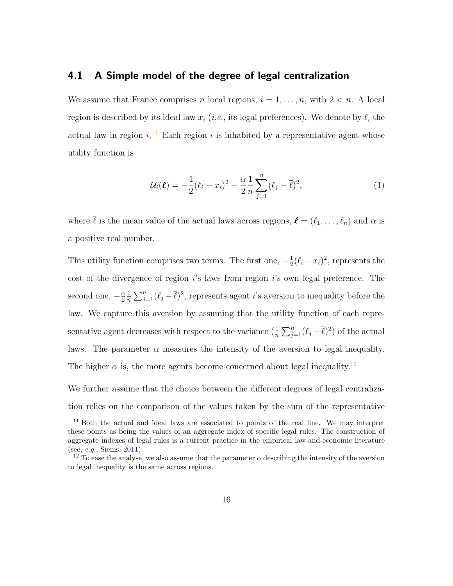#### 4.1 A Simple model of the degree of legal centralization

We assume that France comprises n local regions,  $i = 1, \ldots, n$ , with  $2 < n$ . A local region is described by its ideal law  $x_i$  (*i.e.*, its legal preferences). We denote by  $\ell_i$  the actual law in region  $i$ .<sup>11</sup> Each region i is inhabited by a representative agent whose utility function is

$$
\mathcal{U}_i(\ell) = -\frac{1}{2}(\ell_i - x_i)^2 - \frac{\alpha}{2} \frac{1}{n} \sum_{j=1}^n (\ell_j - \overline{\ell})^2, \tag{1}
$$

where  $\bar{\ell}$  is the mean value of the actual laws across regions,  $\ell = (\ell_1, \ldots, \ell_n)$  and  $\alpha$  is a positive real number.

This utility function comprises two terms. The first one,  $-\frac{1}{2}$  $\frac{1}{2}(\ell_i - x_i)^2$ , represents the cost of the divergence of region  $i$ 's laws from region  $i$ 's own legal preference. The second one,  $-\frac{\alpha}{2}$ 2 1  $\frac{1}{n}\sum_{j=1}^{n}(\ell_j-\overline{\ell})^2$ , represents agent *i*'s aversion to inequality before the law. We capture this aversion by assuming that the utility function of each representative agent decreases with respect to the variance  $(\frac{1}{n}\sum_{j=1}^{n}(\ell_j-\overline{\ell})^2)$  of the actual laws. The parameter  $\alpha$  measures the intensity of the aversion to legal inequality. The higher  $\alpha$  is, the more agents become concerned about legal inequality.<sup>12</sup>

We further assume that the choice between the different degrees of legal centralization relies on the comparison of the values taken by the sum of the representative

<sup>&</sup>lt;sup>11</sup> Both the actual and ideal laws are associated to points of the real line. We may interpret these points as being the values of an aggregate index of specific legal rules. The construction of aggregate indexes of legal rules is a current practice in the empirical law-and-economic literature (see, e.g., Siems, 2011).

<sup>&</sup>lt;sup>12</sup> To ease the analyse, we also assume that the parameter  $\alpha$  describing the intensity of the aversion to legal inequality is the same across regions.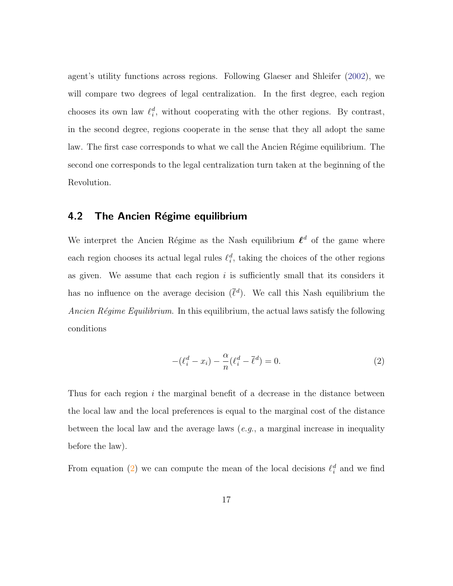agent's utility functions across regions. Following Glaeser and Shleifer (2002), we will compare two degrees of legal centralization. In the first degree, each region chooses its own law  $\ell_i^d$ , without cooperating with the other regions. By contrast, in the second degree, regions cooperate in the sense that they all adopt the same law. The first case corresponds to what we call the Ancien Régime equilibrium. The second one corresponds to the legal centralization turn taken at the beginning of the Revolution.

#### 4.2 The Ancien Régime equilibrium

We interpret the Ancien Régime as the Nash equilibrium  $\ell^d$  of the game where each region chooses its actual legal rules  $\ell_i^d$ , taking the choices of the other regions as given. We assume that each region  $i$  is sufficiently small that its considers it has no influence on the average decision  $(\bar{\ell}^d)$ . We call this Nash equilibrium the Ancien Régime Equilibrium. In this equilibrium, the actual laws satisfy the following conditions

$$
-(\ell_i^d - x_i) - \frac{\alpha}{n}(\ell_i^d - \overline{\ell}^d) = 0.
$$
\n(2)

Thus for each region  $i$  the marginal benefit of a decrease in the distance between the local law and the local preferences is equal to the marginal cost of the distance between the local law and the average laws  $(e.g., a marginal increase in inequality)$ before the law).

From equation (2) we can compute the mean of the local decisions  $\ell_i^d$  and we find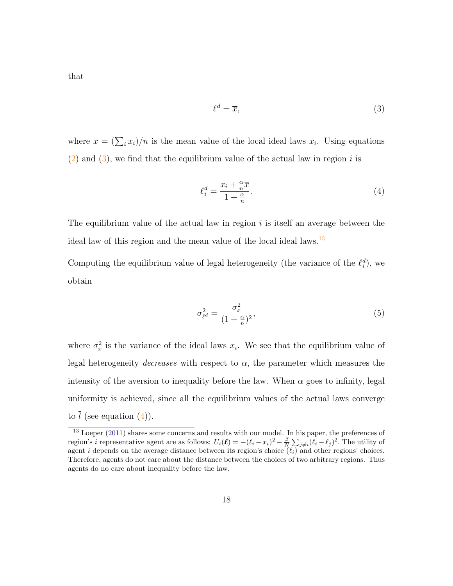that

$$
\overline{\ell}^d = \overline{x},\tag{3}
$$

where  $\bar{x} = (\sum_i x_i)/n$  is the mean value of the local ideal laws  $x_i$ . Using equations  $(2)$  and  $(3)$ , we find that the equilibrium value of the actual law in region i is

$$
\ell_i^d = \frac{x_i + \frac{\alpha}{n}\overline{x}}{1 + \frac{\alpha}{n}}.\tag{4}
$$

The equilibrium value of the actual law in region  $i$  is itself an average between the ideal law of this region and the mean value of the local ideal laws.<sup>13</sup>

Computing the equilibrium value of legal heterogeneity (the variance of the  $\ell_i^d$ ), we obtain

$$
\sigma_{\ell^d}^2 = \frac{\sigma_x^2}{(1 + \frac{\alpha}{n})^2},\tag{5}
$$

where  $\sigma_x^2$  $\frac{2}{x}$  is the variance of the ideal laws  $x_i$ . We see that the equilibrium value of legal heterogeneity decreases with respect to  $\alpha$ , the parameter which measures the intensity of the aversion to inequality before the law. When  $\alpha$  goes to infinity, legal uniformity is achieved, since all the equilibrium values of the actual laws converge to  $\overline{l}$  (see equation (4)).

<sup>&</sup>lt;sup>13</sup> Loeper (2011) shares some concerns and results with our model. In his paper, the preferences of region's *i* representative agent are as follows:  $U_i(\ell) = -(\ell_i - x_i)^2 - \frac{\beta}{N} \sum_{j \neq i} (\ell_i - \ell_j)^2$ . The utility of agent i depends on the average distance between its region's choice  $(\ell_i)$  and other regions' choices. Therefore, agents do not care about the distance between the choices of two arbitrary regions. Thus agents do no care about inequality before the law.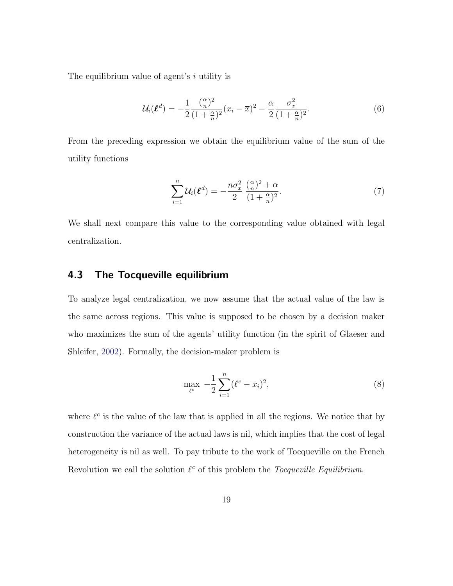The equilibrium value of agent's *i* utility is

$$
\mathcal{U}_i(\ell^d) = -\frac{1}{2} \frac{(\frac{\alpha}{n})^2}{(1 + \frac{\alpha}{n})^2} (x_i - \overline{x})^2 - \frac{\alpha}{2} \frac{\sigma_x^2}{(1 + \frac{\alpha}{n})^2}.
$$
\n(6)

From the preceding expression we obtain the equilibrium value of the sum of the utility functions

$$
\sum_{i=1}^{n} \mathcal{U}_i(\boldsymbol{\ell}^d) = -\frac{n\sigma_x^2}{2} \frac{\left(\frac{\alpha}{n}\right)^2 + \alpha}{(1 + \frac{\alpha}{n})^2}.
$$
\n<sup>(7)</sup>

We shall next compare this value to the corresponding value obtained with legal centralization.

### 4.3 The Tocqueville equilibrium

To analyze legal centralization, we now assume that the actual value of the law is the same across regions. This value is supposed to be chosen by a decision maker who maximizes the sum of the agents' utility function (in the spirit of Glaeser and Shleifer, 2002). Formally, the decision-maker problem is

$$
\max_{\ell^t} \ -\frac{1}{2} \sum_{i=1}^n (\ell^c - x_i)^2,\tag{8}
$$

where  $\ell^c$  is the value of the law that is applied in all the regions. We notice that by construction the variance of the actual laws is nil, which implies that the cost of legal heterogeneity is nil as well. To pay tribute to the work of Tocqueville on the French Revolution we call the solution  $\ell^c$  of this problem the *Tocqueville Equilibrium*.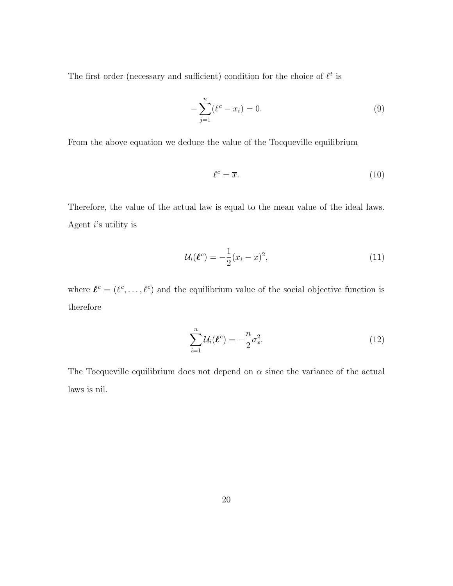The first order (necessary and sufficient) condition for the choice of  $\ell^t$  is

$$
-\sum_{j=1}^{n} (\ell^{c} - x_{i}) = 0.
$$
\n(9)

From the above equation we deduce the value of the Tocqueville equilibrium

$$
\ell^c = \overline{x}.\tag{10}
$$

Therefore, the value of the actual law is equal to the mean value of the ideal laws. Agent  $i$ 's utility is

$$
\mathcal{U}_i(\boldsymbol{\ell}^c) = -\frac{1}{2}(x_i - \overline{x})^2,\tag{11}
$$

where  $\ell^c = (\ell^c, \ldots, \ell^c)$  and the equilibrium value of the social objective function is therefore

$$
\sum_{i=1}^{n} \mathcal{U}_i(\boldsymbol{\ell}^c) = -\frac{n}{2} \sigma_x^2.
$$
 (12)

The Tocqueville equilibrium does not depend on  $\alpha$  since the variance of the actual laws is nil.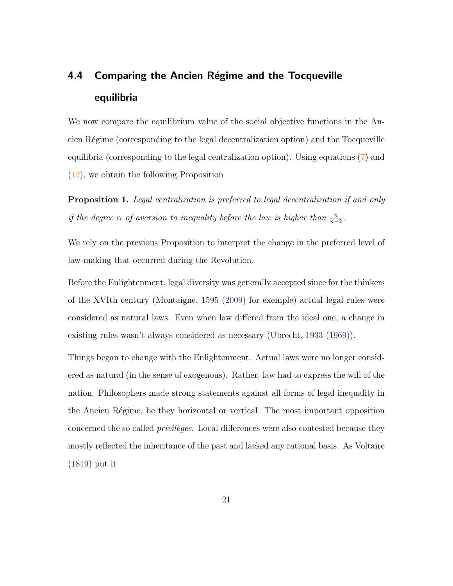# 4.4 Comparing the Ancien Régime and the Tocqueville equilibria

We now compare the equilibrium value of the social objective functions in the Ancien R´egime (corresponding to the legal decentralization option) and the Tocqueville equilibria (corresponding to the legal centralization option). Using equations (7) and (12), we obtain the following Proposition

Proposition 1. Legal centralization is preferred to legal decentralization if and only if the degree  $\alpha$  of aversion to inequality before the law is higher than  $\frac{n}{n-2}$ .

We rely on the previous Proposition to interpret the change in the preferred level of law-making that occurred during the Revolution.

Before the Enlightenment, legal diversity was generally accepted since for the thinkers of the XVIth century (Montaigne, 1595 (2009) for exemple) actual legal rules were considered as natural laws. Even when law differed from the ideal one, a change in existing rules wasn't always considered as necessary (Ubrecht, 1933 (1969)).

Things began to change with the Enlightenment. Actual laws were no longer considered as natural (in the sense of exogenous). Rather, law had to express the will of the nation. Philosophers made strong statements against all forms of legal inequality in the Ancien Régime, be they horizontal or vertical. The most important opposition concerned the so called *privileges*. Local differences were also contested because they mostly reflected the inheritance of the past and lacked any rational basis. As Voltaire (1819) put it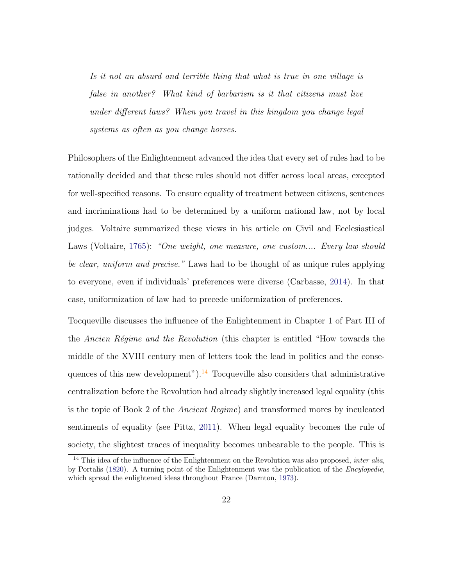Is it not an absurd and terrible thing that what is true in one village is false in another? What kind of barbarism is it that citizens must live under different laws? When you travel in this kingdom you change legal systems as often as you change horses.

Philosophers of the Enlightenment advanced the idea that every set of rules had to be rationally decided and that these rules should not differ across local areas, excepted for well-specified reasons. To ensure equality of treatment between citizens, sentences and incriminations had to be determined by a uniform national law, not by local judges. Voltaire summarized these views in his article on Civil and Ecclesiastical Laws (Voltaire, 1765): "One weight, one measure, one custom.... Every law should be clear, uniform and precise." Laws had to be thought of as unique rules applying to everyone, even if individuals' preferences were diverse (Carbasse, 2014). In that case, uniformization of law had to precede uniformization of preferences.

Tocqueville discusses the influence of the Enlightenment in Chapter 1 of Part III of the Ancien Régime and the Revolution (this chapter is entitled "How towards the middle of the XVIII century men of letters took the lead in politics and the consequences of this new development").<sup>14</sup> Tocqueville also considers that administrative centralization before the Revolution had already slightly increased legal equality (this is the topic of Book 2 of the Ancient Regime) and transformed mores by inculcated sentiments of equality (see Pittz, 2011). When legal equality becomes the rule of society, the slightest traces of inequality becomes unbearable to the people. This is

 $14$  This idea of the influence of the Enlightenment on the Revolution was also proposed, *inter alia*, by Portalis (1820). A turning point of the Enlightenment was the publication of the Encylopedie, which spread the enlightened ideas throughout France (Darnton, 1973).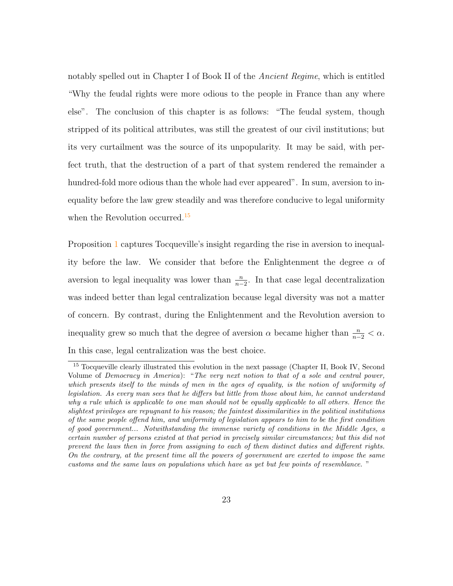notably spelled out in Chapter I of Book II of the *Ancient Regime*, which is entitled "Why the feudal rights were more odious to the people in France than any where else". The conclusion of this chapter is as follows: "The feudal system, though stripped of its political attributes, was still the greatest of our civil institutions; but its very curtailment was the source of its unpopularity. It may be said, with perfect truth, that the destruction of a part of that system rendered the remainder a hundred-fold more odious than the whole had ever appeared". In sum, aversion to inequality before the law grew steadily and was therefore conducive to legal uniformity when the Revolution occurred.<sup>15</sup>

Proposition 1 captures Tocqueville's insight regarding the rise in aversion to inequality before the law. We consider that before the Enlightenment the degree  $\alpha$  of aversion to legal inequality was lower than  $\frac{n}{n-2}$ . In that case legal decentralization was indeed better than legal centralization because legal diversity was not a matter of concern. By contrast, during the Enlightenment and the Revolution aversion to inequality grew so much that the degree of aversion  $\alpha$  became higher than  $\frac{n}{n-2} < \alpha$ . In this case, legal centralization was the best choice.

<sup>&</sup>lt;sup>15</sup> Tocqueville clearly illustrated this evolution in the next passage (Chapter II, Book IV, Second Volume of Democracy in America): "The very next notion to that of a sole and central power, which presents itself to the minds of men in the ages of equality, is the notion of uniformity of legislation. As every man sees that he differs but little from those about him, he cannot understand why a rule which is applicable to one man should not be equally applicable to all others. Hence the slightest privileges are repugnant to his reason; the faintest dissimilarities in the political institutions of the same people offend him, and uniformity of legislation appears to him to be the first condition of good government... Notwithstanding the immense variety of conditions in the Middle Ages, a certain number of persons existed at that period in precisely similar circumstances; but this did not prevent the laws then in force from assigning to each of them distinct duties and different rights. On the contrary, at the present time all the powers of government are exerted to impose the same customs and the same laws on populations which have as yet but few points of resemblance. "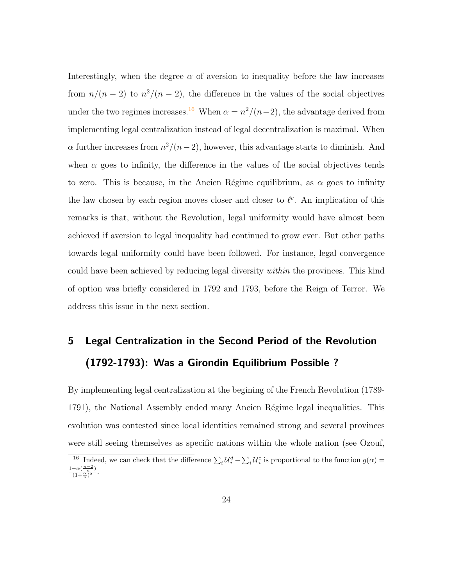Interestingly, when the degree  $\alpha$  of aversion to inequality before the law increases from  $n/(n-2)$  to  $n^2/(n-2)$ , the difference in the values of the social objectives under the two regimes increases.<sup>16</sup> When  $\alpha = \frac{n^2}{n-2}$ , the advantage derived from implementing legal centralization instead of legal decentralization is maximal. When  $\alpha$  further increases from  $n^2/(n-2)$ , however, this advantage starts to diminish. And when  $\alpha$  goes to infinity, the difference in the values of the social objectives tends to zero. This is because, in the Ancien Régime equilibrium, as  $\alpha$  goes to infinity the law chosen by each region moves closer and closer to  $\ell^c$ . An implication of this remarks is that, without the Revolution, legal uniformity would have almost been achieved if aversion to legal inequality had continued to grow ever. But other paths towards legal uniformity could have been followed. For instance, legal convergence could have been achieved by reducing legal diversity within the provinces. This kind of option was briefly considered in 1792 and 1793, before the Reign of Terror. We address this issue in the next section.

## 5 Legal Centralization in the Second Period of the Revolution (1792-1793): Was a Girondin Equilibrium Possible ?

By implementing legal centralization at the begining of the French Revolution (1789- 1791), the National Assembly ended many Ancien Régime legal inequalities. This evolution was contested since local identities remained strong and several provinces were still seeing themselves as specific nations within the whole nation (see Ozouf,

<sup>&</sup>lt;sup>16</sup> Indeed, we can check that the difference  $\sum_i \mathcal{U}_i^d - \sum_i \mathcal{U}_i^c$  is proportional to the function  $g(\alpha)$  =  $\frac{1-\alpha(\frac{n-2}{n})}{(1+\frac{\alpha}{n})^2}.$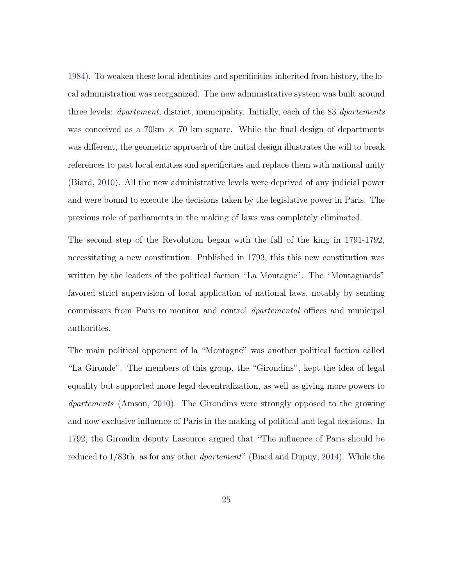1984). To weaken these local identities and specificities inherited from history, the local administration was reorganized. The new administrative system was built around three levels: *dpartement*, district, municipality. Initially, each of the 83 *dpartements* was conceived as a  $70 \text{ km} \times 70 \text{ km}$  square. While the final design of departments was different, the geometric approach of the initial design illustrates the will to break references to past local entities and specificities and replace them with national unity (Biard, 2010). All the new administrative levels were deprived of any judicial power and were bound to execute the decisions taken by the legislative power in Paris. The previous role of parliaments in the making of laws was completely eliminated.

The second step of the Revolution began with the fall of the king in 1791-1792, necessitating a new constitution. Published in 1793, this this new constitution was written by the leaders of the political faction "La Montagne". The "Montagnards" favored strict supervision of local application of national laws, notably by sending commissars from Paris to monitor and control dpartemental offices and municipal authorities.

The main political opponent of la "Montagne" was another political faction called "La Gironde". The members of this group, the "Girondins", kept the idea of legal equality but supported more legal decentralization, as well as giving more powers to dpartements (Amson, 2010). The Girondins were strongly opposed to the growing and now exclusive influence of Paris in the making of political and legal decisions. In 1792, the Girondin deputy Lasource argued that "The influence of Paris should be reduced to 1/83th, as for any other dpartement" (Biard and Dupuy, 2014). While the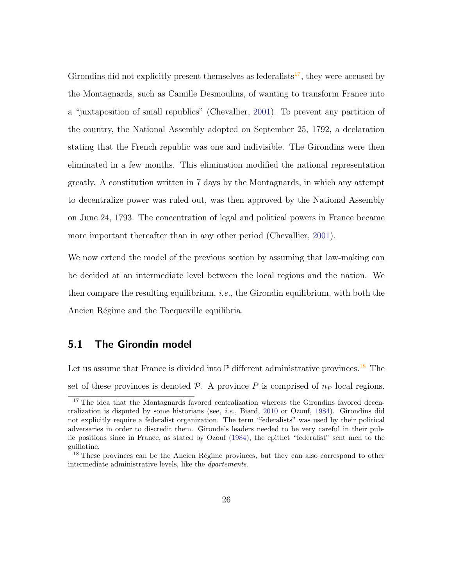Girondins did not explicitly present themselves as federalists<sup>17</sup>, they were accused by the Montagnards, such as Camille Desmoulins, of wanting to transform France into a "juxtaposition of small republics" (Chevallier, 2001). To prevent any partition of the country, the National Assembly adopted on September 25, 1792, a declaration stating that the French republic was one and indivisible. The Girondins were then eliminated in a few months. This elimination modified the national representation greatly. A constitution written in 7 days by the Montagnards, in which any attempt to decentralize power was ruled out, was then approved by the National Assembly on June 24, 1793. The concentration of legal and political powers in France became more important thereafter than in any other period (Chevallier, 2001).

We now extend the model of the previous section by assuming that law-making can be decided at an intermediate level between the local regions and the nation. We then compare the resulting equilibrium, *i.e.*, the Girondin equilibrium, with both the Ancien Régime and the Tocqueville equilibria.

### 5.1 The Girondin model

Let us assume that France is divided into  $\mathbb P$  different administrative provinces.<sup>18</sup> The set of these provinces is denoted  $\mathcal{P}$ . A province P is comprised of  $n_P$  local regions.

<sup>&</sup>lt;sup>17</sup> The idea that the Montagnards favored centralization whereas the Girondins favored decentralization is disputed by some historians (see, i.e., Biard, 2010 or Ozouf, 1984). Girondins did not explicitly require a federalist organization. The term "federalists" was used by their political adversaries in order to discredit them. Gironde's leaders needed to be very careful in their public positions since in France, as stated by Ozouf (1984), the epithet "federalist" sent men to the guillotine.

<sup>&</sup>lt;sup>18</sup> These provinces can be the Ancien Régime provinces, but they can also correspond to other intermediate administrative levels, like the dpartements.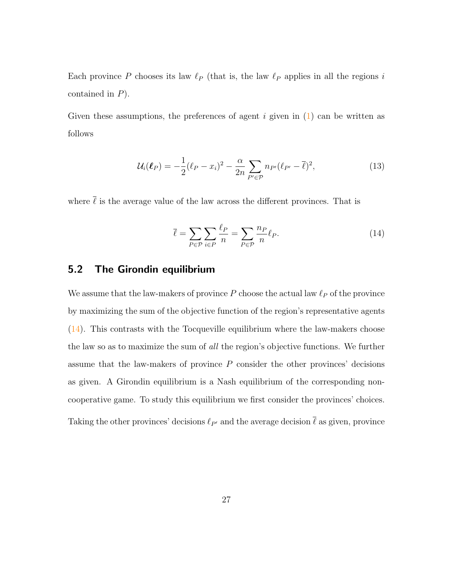Each province P chooses its law  $\ell_P$  (that is, the law  $\ell_P$  applies in all the regions i contained in P).

Given these assumptions, the preferences of agent i given in  $(1)$  can be written as follows

$$
\mathcal{U}_i(\boldsymbol{\ell}_P) = -\frac{1}{2}(\ell_P - x_i)^2 - \frac{\alpha}{2n} \sum_{P' \in \mathcal{P}} n_{P'}(\ell_{P'} - \overline{\ell})^2, \qquad (13)
$$

where  $\overline{\ell}$  is the average value of the law across the different provinces. That is

$$
\bar{\ell} = \sum_{P \in \mathcal{P}} \sum_{i \in P} \frac{\ell_P}{n} = \sum_{P \in \mathcal{P}} \frac{n_P}{n} \ell_P.
$$
\n(14)

### 5.2 The Girondin equilibrium

We assume that the law-makers of province  $P$  choose the actual law  $\ell_P$  of the province by maximizing the sum of the objective function of the region's representative agents (14). This contrasts with the Tocqueville equilibrium where the law-makers choose the law so as to maximize the sum of all the region's objective functions. We further assume that the law-makers of province  $P$  consider the other provinces' decisions as given. A Girondin equilibrium is a Nash equilibrium of the corresponding noncooperative game. To study this equilibrium we first consider the provinces' choices. Taking the other provinces' decisions  $\ell_{P'}$  and the average decision  $\bar{\ell}$  as given, province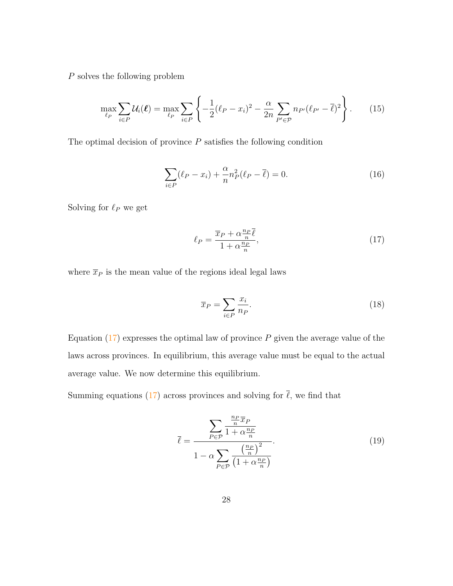P solves the following problem

$$
\max_{\ell_P} \sum_{i \in P} \mathcal{U}_i(\ell) = \max_{\ell_P} \sum_{i \in P} \left\{ -\frac{1}{2} (\ell_P - x_i)^2 - \frac{\alpha}{2n} \sum_{P' \in \mathcal{P}} n_{P'} (\ell_{P'} - \overline{\ell})^2 \right\}.
$$
 (15)

The optimal decision of province  $P$  satisfies the following condition

$$
\sum_{i \in P} (\ell_P - x_i) + \frac{\alpha}{n} n_P^2 (\ell_P - \overline{\ell}) = 0.
$$
 (16)

Solving for  $\ell_P$  we get

$$
\ell_P = \frac{\overline{x}_P + \alpha \frac{n_P}{n} \overline{\ell}}{1 + \alpha \frac{n_P}{n}},\tag{17}
$$

where  $\bar{x}_P$  is the mean value of the regions ideal legal laws

$$
\overline{x}_P = \sum_{i \in P} \frac{x_i}{n_P}.\tag{18}
$$

Equation  $(17)$  expresses the optimal law of province P given the average value of the laws across provinces. In equilibrium, this average value must be equal to the actual average value. We now determine this equilibrium.

Summing equations (17) across provinces and solving for  $\bar{\ell}$ , we find that

$$
\overline{\ell} = \frac{\sum_{P \in \mathcal{P}} \frac{\frac{n_P}{n} \overline{x}_P}{1 + \alpha \frac{n_P}{n}}}{1 - \alpha \sum_{P \in \mathcal{P}} \frac{\left(\frac{n_P}{n}\right)^2}{\left(1 + \alpha \frac{n_P}{n}\right)}}.
$$
(19)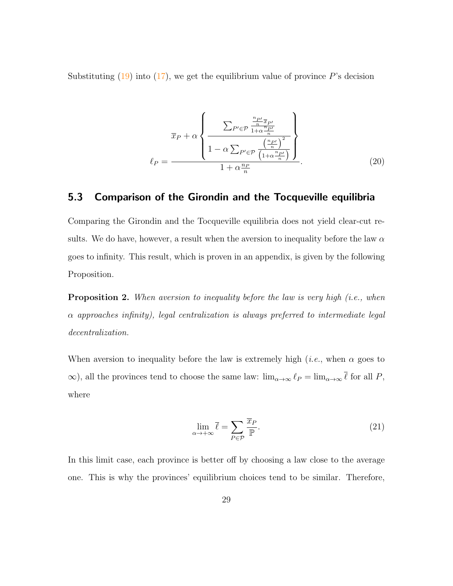Substituting  $(19)$  into  $(17)$ , we get the equilibrium value of province P's decision

$$
\overline{x}_P + \alpha \left\{ \frac{\sum_{P' \in \mathcal{P}} \frac{\frac{n_{P'}}{n} \overline{x}_{P'}}{1 + \alpha \frac{n_{P'}}{n}}}{1 - \alpha \sum_{P' \in \mathcal{P}} \frac{\left(\frac{n_{P'}}{n}\right)^2}{\left(1 + \alpha \frac{n_{P'}}{n}\right)}}}{1 + \alpha \frac{n_P}{n}} \right\}.
$$
(20)

### 5.3 Comparison of the Girondin and the Tocqueville equilibria

Comparing the Girondin and the Tocqueville equilibria does not yield clear-cut results. We do have, however, a result when the aversion to inequality before the law  $\alpha$ goes to infinity. This result, which is proven in an appendix, is given by the following Proposition.

**Proposition 2.** When aversion to inequality before the law is very high (i.e., when  $\alpha$  approaches infinity), legal centralization is always preferred to intermediate legal decentralization.

When aversion to inequality before the law is extremely high (*i.e.*, when  $\alpha$  goes to  $\infty$ ), all the provinces tend to choose the same law:  $\lim_{\alpha\to\infty} \ell_P = \lim_{\alpha\to\infty} \overline{\ell}$  for all P, where

$$
\lim_{\alpha \to +\infty} \bar{\ell} = \sum_{P \in \mathcal{P}} \frac{\overline{x}_P}{\mathbb{P}}.
$$
\n(21)

In this limit case, each province is better off by choosing a law close to the average one. This is why the provinces' equilibrium choices tend to be similar. Therefore,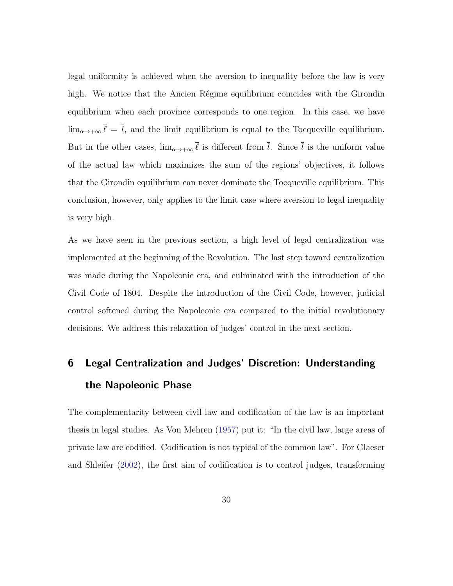legal uniformity is achieved when the aversion to inequality before the law is very high. We notice that the Ancien Régime equilibrium coincides with the Girondin equilibrium when each province corresponds to one region. In this case, we have  $\lim_{\alpha \to +\infty} \overline{\ell} = \overline{l}$ , and the limit equilibrium is equal to the Tocqueville equilibrium. But in the other cases,  $\lim_{\alpha\to+\infty}\bar{\ell}$  is different from  $\bar{l}$ . Since  $\bar{l}$  is the uniform value of the actual law which maximizes the sum of the regions' objectives, it follows that the Girondin equilibrium can never dominate the Tocqueville equilibrium. This conclusion, however, only applies to the limit case where aversion to legal inequality is very high.

As we have seen in the previous section, a high level of legal centralization was implemented at the beginning of the Revolution. The last step toward centralization was made during the Napoleonic era, and culminated with the introduction of the Civil Code of 1804. Despite the introduction of the Civil Code, however, judicial control softened during the Napoleonic era compared to the initial revolutionary decisions. We address this relaxation of judges' control in the next section.

## 6 Legal Centralization and Judges' Discretion: Understanding the Napoleonic Phase

The complementarity between civil law and codification of the law is an important thesis in legal studies. As Von Mehren (1957) put it: "In the civil law, large areas of private law are codified. Codification is not typical of the common law". For Glaeser and Shleifer (2002), the first aim of codification is to control judges, transforming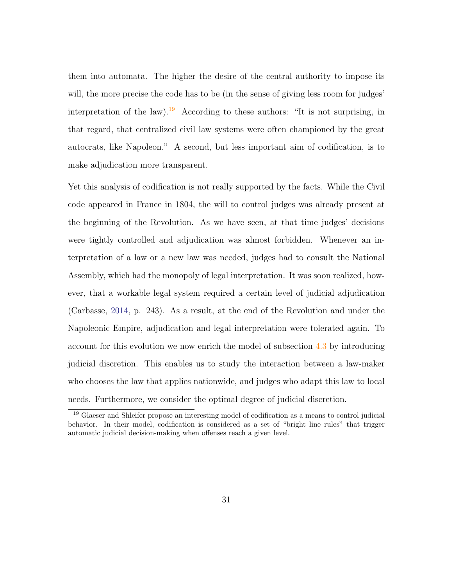them into automata. The higher the desire of the central authority to impose its will, the more precise the code has to be (in the sense of giving less room for judges' interpretation of the law).<sup>19</sup> According to these authors: "It is not surprising, in that regard, that centralized civil law systems were often championed by the great autocrats, like Napoleon." A second, but less important aim of codification, is to make adjudication more transparent.

Yet this analysis of codification is not really supported by the facts. While the Civil code appeared in France in 1804, the will to control judges was already present at the beginning of the Revolution. As we have seen, at that time judges' decisions were tightly controlled and adjudication was almost forbidden. Whenever an interpretation of a law or a new law was needed, judges had to consult the National Assembly, which had the monopoly of legal interpretation. It was soon realized, however, that a workable legal system required a certain level of judicial adjudication (Carbasse, 2014, p. 243). As a result, at the end of the Revolution and under the Napoleonic Empire, adjudication and legal interpretation were tolerated again. To account for this evolution we now enrich the model of subsection 4.3 by introducing judicial discretion. This enables us to study the interaction between a law-maker who chooses the law that applies nationwide, and judges who adapt this law to local needs. Furthermore, we consider the optimal degree of judicial discretion.

<sup>&</sup>lt;sup>19</sup> Glaeser and Shleifer propose an interesting model of codification as a means to control judicial behavior. In their model, codification is considered as a set of "bright line rules" that trigger automatic judicial decision-making when offenses reach a given level.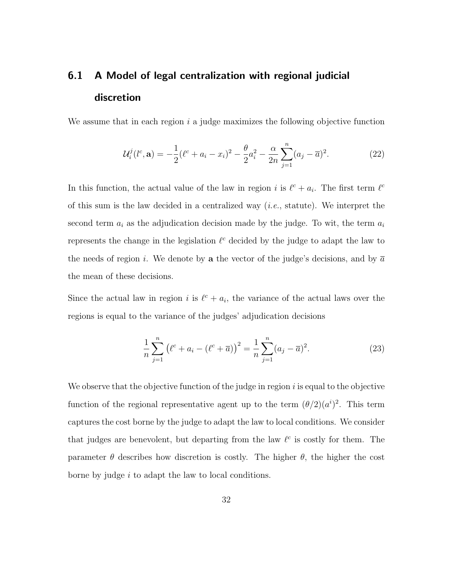## 6.1 A Model of legal centralization with regional judicial discretion

We assume that in each region  $i$  a judge maximizes the following objective function

$$
\mathcal{U}_i^j(l^c, \mathbf{a}) = -\frac{1}{2}(\ell^c + a_i - x_i)^2 - \frac{\theta}{2}a_i^2 - \frac{\alpha}{2n}\sum_{j=1}^n (a_j - \overline{a})^2.
$$
 (22)

In this function, the actual value of the law in region i is  $\ell^c + a_i$ . The first term  $\ell^c$ of this sum is the law decided in a centralized way  $(i.e.,$  statute). We interpret the second term  $a_i$  as the adjudication decision made by the judge. To wit, the term  $a_i$ represents the change in the legislation  $\ell^c$  decided by the judge to adapt the law to the needs of region i. We denote by a the vector of the judge's decisions, and by  $\overline{a}$ the mean of these decisions.

Since the actual law in region i is  $\ell^c + a_i$ , the variance of the actual laws over the regions is equal to the variance of the judges' adjudication decisions

$$
\frac{1}{n}\sum_{j=1}^{n} (\ell^{c} + a_{i} - (\ell^{c} + \overline{a}))^{2} = \frac{1}{n}\sum_{j=1}^{n} (a_{j} - \overline{a})^{2}.
$$
 (23)

We observe that the objective function of the judge in region  $i$  is equal to the objective function of the regional representative agent up to the term  $(\theta/2)(a^i)^2$ . This term captures the cost borne by the judge to adapt the law to local conditions. We consider that judges are benevolent, but departing from the law  $\ell^c$  is costly for them. The parameter  $\theta$  describes how discretion is costly. The higher  $\theta$ , the higher the cost borne by judge i to adapt the law to local conditions.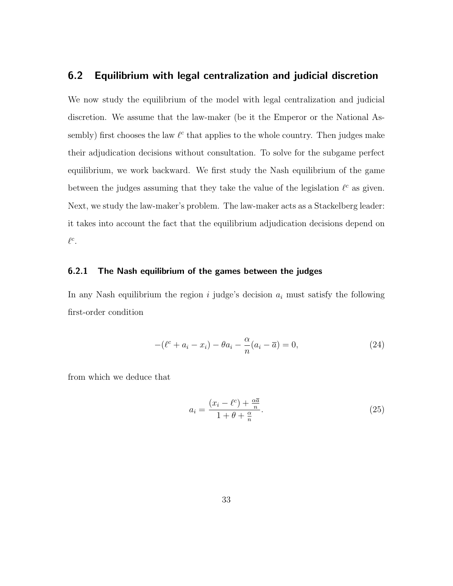#### 6.2 Equilibrium with legal centralization and judicial discretion

We now study the equilibrium of the model with legal centralization and judicial discretion. We assume that the law-maker (be it the Emperor or the National Assembly) first chooses the law  $\ell^c$  that applies to the whole country. Then judges make their adjudication decisions without consultation. To solve for the subgame perfect equilibrium, we work backward. We first study the Nash equilibrium of the game between the judges assuming that they take the value of the legislation  $\ell^c$  as given. Next, we study the law-maker's problem. The law-maker acts as a Stackelberg leader: it takes into account the fact that the equilibrium adjudication decisions depend on  $\ell^c$ .

#### 6.2.1 The Nash equilibrium of the games between the judges

In any Nash equilibrium the region  $i$  judge's decision  $a_i$  must satisfy the following first-order condition

$$
-(\ell^c + a_i - x_i) - \theta a_i - \frac{\alpha}{n}(a_i - \overline{a}) = 0,
$$
\n(24)

from which we deduce that

$$
a_i = \frac{(x_i - \ell^c) + \frac{\alpha \overline{a}}{n}}{1 + \theta + \frac{\alpha}{n}}.\tag{25}
$$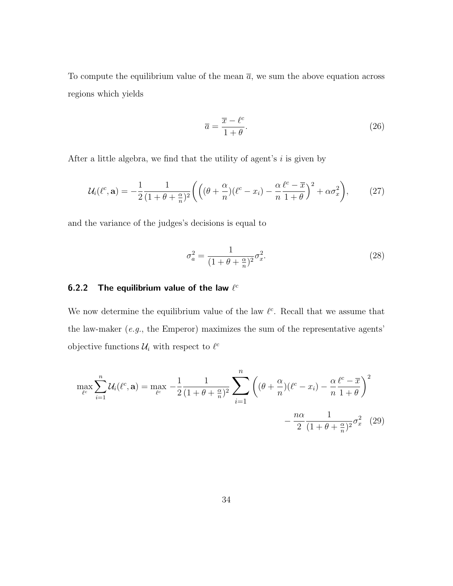To compute the equilibrium value of the mean  $\bar{a}$ , we sum the above equation across regions which yields

$$
\overline{a} = \frac{\overline{x} - \ell^c}{1 + \theta}.\tag{26}
$$

After a little algebra, we find that the utility of agent's  $i$  is given by

$$
\mathcal{U}_i(\ell^c, \mathbf{a}) = -\frac{1}{2} \frac{1}{(1+\theta+\frac{\alpha}{n})^2} \left( \left( (\theta+\frac{\alpha}{n})(\ell^c - x_i) - \frac{\alpha}{n} \frac{\ell^c - \overline{x}}{1+\theta} \right)^2 + \alpha \sigma_x^2 \right), \tag{27}
$$

and the variance of the judges's decisions is equal to

$$
\sigma_a^2 = \frac{1}{(1+\theta+\frac{\alpha}{n})^2} \sigma_x^2.
$$
\n(28)

#### 6.2.2 The equilibrium value of the law  $\ell^c$

We now determine the equilibrium value of the law  $\ell^c$ . Recall that we assume that the law-maker  $(e.g., the Emperor)$  maximizes the sum of the representative agents' objective functions  $\mathcal{U}_i$  with respect to  $\ell^c$ 

$$
\max_{\ell^c} \sum_{i=1}^n \mathcal{U}_i(\ell^c, \mathbf{a}) = \max_{\ell^c} -\frac{1}{2} \frac{1}{(1+\theta + \frac{\alpha}{n})^2} \sum_{i=1}^n \left( (\theta + \frac{\alpha}{n})(\ell^c - x_i) - \frac{\alpha}{n} \frac{\ell^c - \overline{x}}{1+\theta} \right)^2 - \frac{n\alpha}{2} \frac{1}{(1+\theta + \frac{\alpha}{n})^2} \sigma_x^2 \tag{29}
$$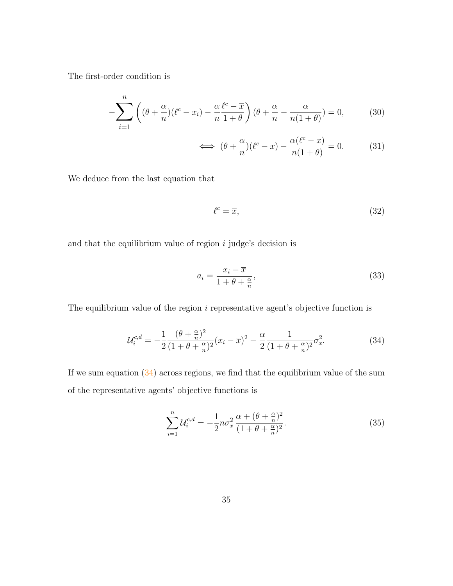The first-order condition is

$$
-\sum_{i=1}^{n} \left( (\theta + \frac{\alpha}{n})(\ell^c - x_i) - \frac{\alpha \ell^c - \overline{x}}{n \ 1 + \theta} \right) (\theta + \frac{\alpha}{n} - \frac{\alpha}{n(1 + \theta)}) = 0, \tag{30}
$$

$$
\iff (\theta + \frac{\alpha}{n})(\ell^c - \overline{x}) - \frac{\alpha(\ell^c - \overline{x})}{n(1 + \theta)} = 0. \tag{31}
$$

We deduce from the last equation that

$$
\ell^c = \overline{x},\tag{32}
$$

and that the equilibrium value of region  $i$  judge's decision is

$$
a_i = \frac{x_i - \overline{x}}{1 + \theta + \frac{\alpha}{n}},\tag{33}
$$

The equilibrium value of the region  $i$  representative agent's objective function is

$$
\mathcal{U}_{i}^{c,d} = -\frac{1}{2} \frac{(\theta + \frac{\alpha}{n})^2}{(1 + \theta + \frac{\alpha}{n})^2} (x_i - \overline{x})^2 - \frac{\alpha}{2} \frac{1}{(1 + \theta + \frac{\alpha}{n})^2} \sigma_x^2.
$$
 (34)

If we sum equation  $(34)$  across regions, we find that the equilibrium value of the sum of the representative agents' objective functions is

$$
\sum_{i=1}^{n} \mathcal{U}_{i}^{c,d} = -\frac{1}{2} n \sigma_x^2 \frac{\alpha + (\theta + \frac{\alpha}{n})^2}{(1 + \theta + \frac{\alpha}{n})^2}.
$$
 (35)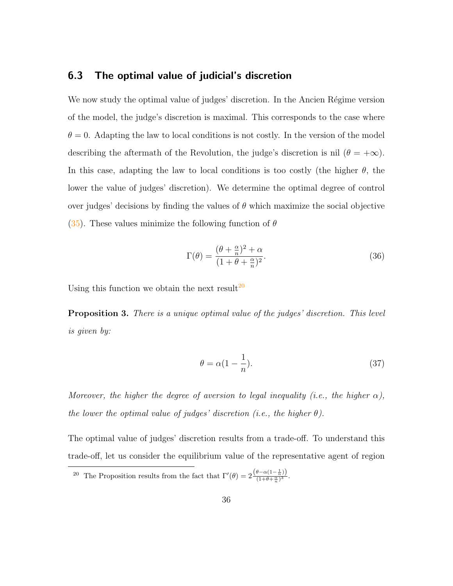#### 6.3 The optimal value of judicial's discretion

We now study the optimal value of judges' discretion. In the Ancien Régime version of the model, the judge's discretion is maximal. This corresponds to the case where  $\theta = 0$ . Adapting the law to local conditions is not costly. In the version of the model describing the aftermath of the Revolution, the judge's discretion is nil ( $\theta = +\infty$ ). In this case, adapting the law to local conditions is too costly (the higher  $\theta$ , the lower the value of judges' discretion). We determine the optimal degree of control over judges' decisions by finding the values of  $\theta$  which maximize the social objective (35). These values minimize the following function of  $\theta$ 

$$
\Gamma(\theta) = \frac{(\theta + \frac{\alpha}{n})^2 + \alpha}{(1 + \theta + \frac{\alpha}{n})^2}.
$$
\n(36)

Using this function we obtain the next result<sup>20</sup>

**Proposition 3.** There is a unique optimal value of the judges' discretion. This level is given by:

$$
\theta = \alpha (1 - \frac{1}{n}).\tag{37}
$$

Moreover, the higher the degree of aversion to legal inequality (i.e., the higher  $\alpha$ ), the lower the optimal value of judges' discretion (i.e., the higher  $\theta$ ).

The optimal value of judges' discretion results from a trade-off. To understand this trade-off, let us consider the equilibrium value of the representative agent of region

<sup>&</sup>lt;sup>20</sup> The Proposition results from the fact that  $\Gamma'(\theta) = 2 \frac{(\theta - \alpha(1 - \frac{1}{n}))}{(1 + \theta + \frac{\alpha}{n})^3}$  $\frac{\alpha(1-n)!}{(1+\theta+\frac{\alpha}{n})^3}.$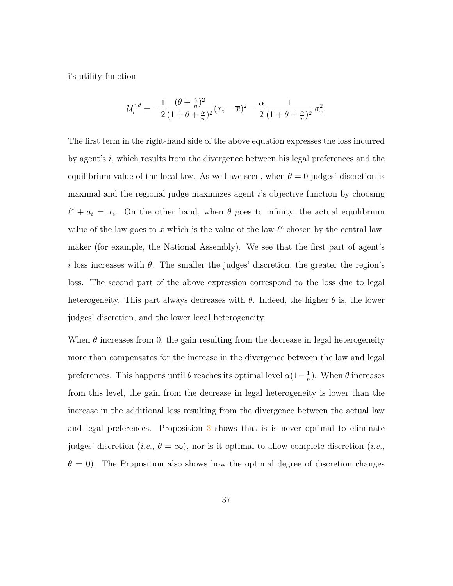i's utility function

$$
\mathcal{U}_{i}^{c,d} = -\frac{1}{2} \frac{(\theta + \frac{\alpha}{n})^2}{(1 + \theta + \frac{\alpha}{n})^2} (x_i - \overline{x})^2 - \frac{\alpha}{2} \frac{1}{(1 + \theta + \frac{\alpha}{n})^2} \sigma_x^2.
$$

The first term in the right-hand side of the above equation expresses the loss incurred by agent's i, which results from the divergence between his legal preferences and the equilibrium value of the local law. As we have seen, when  $\theta = 0$  judges' discretion is maximal and the regional judge maximizes agent  $i$ 's objective function by choosing  $\ell^c + a_i = x_i$ . On the other hand, when  $\theta$  goes to infinity, the actual equilibrium value of the law goes to  $\bar{x}$  which is the value of the law  $\ell^c$  chosen by the central lawmaker (for example, the National Assembly). We see that the first part of agent's i loss increases with  $\theta$ . The smaller the judges' discretion, the greater the region's loss. The second part of the above expression correspond to the loss due to legal heterogeneity. This part always decreases with  $\theta$ . Indeed, the higher  $\theta$  is, the lower judges' discretion, and the lower legal heterogeneity.

When  $\theta$  increases from 0, the gain resulting from the decrease in legal heterogeneity more than compensates for the increase in the divergence between the law and legal preferences. This happens until  $\theta$  reaches its optimal level  $\alpha(1-\frac{1}{n})$  $\frac{1}{n}$ ). When  $\theta$  increases from this level, the gain from the decrease in legal heterogeneity is lower than the increase in the additional loss resulting from the divergence between the actual law and legal preferences. Proposition 3 shows that is is never optimal to eliminate judges' discretion (*i.e.*,  $\theta = \infty$ ), nor is it optimal to allow complete discretion (*i.e.*,  $\theta = 0$ ). The Proposition also shows how the optimal degree of discretion changes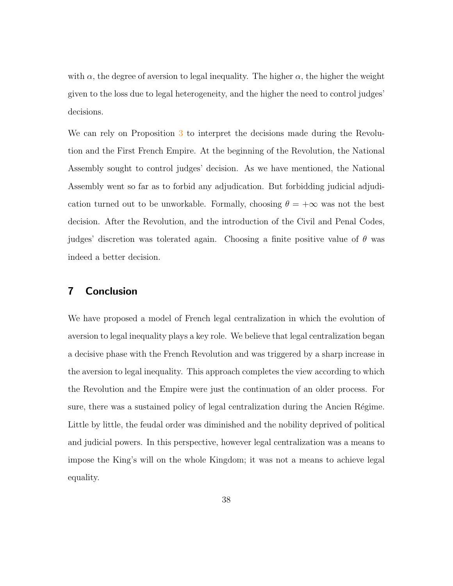with  $\alpha$ , the degree of aversion to legal inequality. The higher  $\alpha$ , the higher the weight given to the loss due to legal heterogeneity, and the higher the need to control judges' decisions.

We can rely on Proposition 3 to interpret the decisions made during the Revolution and the First French Empire. At the beginning of the Revolution, the National Assembly sought to control judges' decision. As we have mentioned, the National Assembly went so far as to forbid any adjudication. But forbidding judicial adjudication turned out to be unworkable. Formally, choosing  $\theta = +\infty$  was not the best decision. After the Revolution, and the introduction of the Civil and Penal Codes, judges' discretion was tolerated again. Choosing a finite positive value of  $\theta$  was indeed a better decision.

#### 7 Conclusion

We have proposed a model of French legal centralization in which the evolution of aversion to legal inequality plays a key role. We believe that legal centralization began a decisive phase with the French Revolution and was triggered by a sharp increase in the aversion to legal inequality. This approach completes the view according to which the Revolution and the Empire were just the continuation of an older process. For sure, there was a sustained policy of legal centralization during the Ancien Régime. Little by little, the feudal order was diminished and the nobility deprived of political and judicial powers. In this perspective, however legal centralization was a means to impose the King's will on the whole Kingdom; it was not a means to achieve legal equality.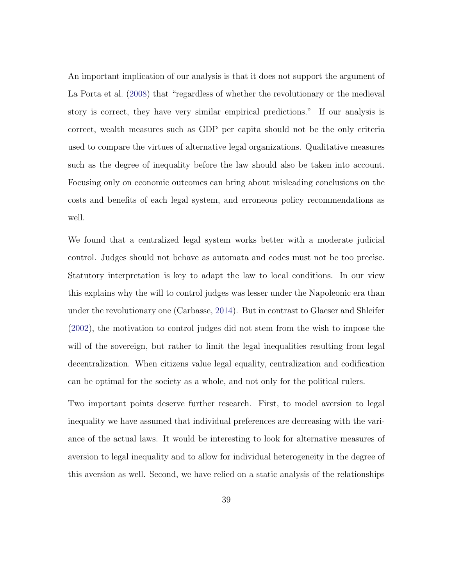An important implication of our analysis is that it does not support the argument of La Porta et al. (2008) that "regardless of whether the revolutionary or the medieval story is correct, they have very similar empirical predictions." If our analysis is correct, wealth measures such as GDP per capita should not be the only criteria used to compare the virtues of alternative legal organizations. Qualitative measures such as the degree of inequality before the law should also be taken into account. Focusing only on economic outcomes can bring about misleading conclusions on the costs and benefits of each legal system, and erroneous policy recommendations as well.

We found that a centralized legal system works better with a moderate judicial control. Judges should not behave as automata and codes must not be too precise. Statutory interpretation is key to adapt the law to local conditions. In our view this explains why the will to control judges was lesser under the Napoleonic era than under the revolutionary one (Carbasse, 2014). But in contrast to Glaeser and Shleifer (2002), the motivation to control judges did not stem from the wish to impose the will of the sovereign, but rather to limit the legal inequalities resulting from legal decentralization. When citizens value legal equality, centralization and codification can be optimal for the society as a whole, and not only for the political rulers.

Two important points deserve further research. First, to model aversion to legal inequality we have assumed that individual preferences are decreasing with the variance of the actual laws. It would be interesting to look for alternative measures of aversion to legal inequality and to allow for individual heterogeneity in the degree of this aversion as well. Second, we have relied on a static analysis of the relationships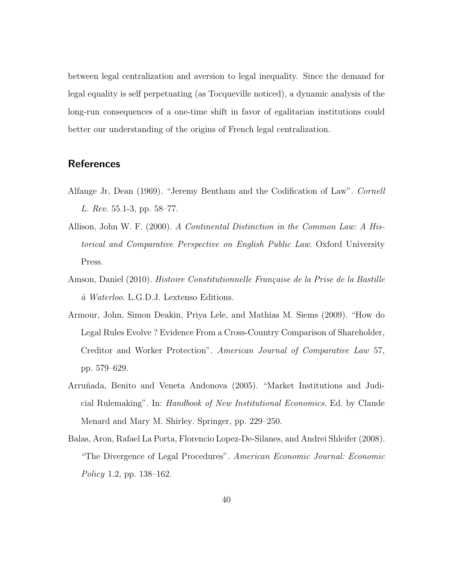between legal centralization and aversion to legal inequality. Since the demand for legal equality is self perpetuating (as Tocqueville noticed), a dynamic analysis of the long-run consequences of a one-time shift in favor of egalitarian institutions could better our understanding of the origins of French legal centralization.

### **References**

- Alfange Jr, Dean (1969). "Jeremy Bentham and the Codification of Law". Cornell L. Rev. 55.1-3, pp. 58–77.
- Allison, John W. F. (2000). A Continental Distinction in the Common Law: A Historical and Comparative Perspective on English Public Law. Oxford University Press.
- Amson, Daniel (2010). Histoire Constitutionnelle Française de la Prise de la Bastille  $\dot{a}$  Waterloo. L.G.D.J. Lextenso Editions.
- Armour, John, Simon Deakin, Priya Lele, and Mathias M. Siems (2009). "How do Legal Rules Evolve ? Evidence From a Cross-Country Comparison of Shareholder, Creditor and Worker Protection". American Journal of Comparative Law 57, pp. 579–629.
- Arruñada, Benito and Veneta Andonova (2005). "Market Institutions and Judicial Rulemaking". In: Handbook of New Institutional Economics. Ed. by Claude Menard and Mary M. Shirley. Springer, pp. 229–250.
- Balas, Aron, Rafael La Porta, Florencio Lopez-De-Silanes, and Andrei Shleifer (2008). "The Divergence of Legal Procedures". American Economic Journal: Economic Policy 1.2, pp. 138–162.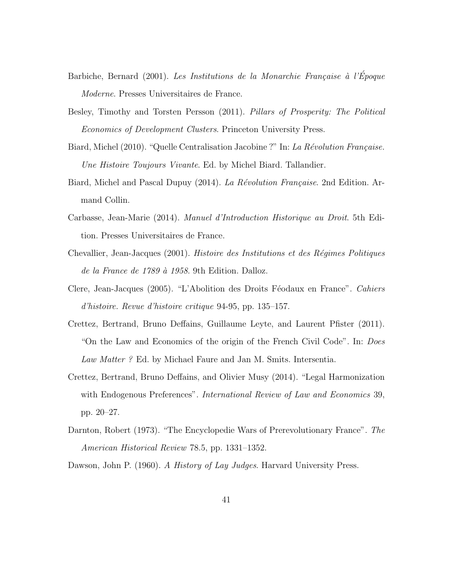- Barbiche, Bernard (2001). Les Institutions de la Monarchie Française à l'Époque Moderne. Presses Universitaires de France.
- Besley, Timothy and Torsten Persson (2011). Pillars of Prosperity: The Political Economics of Development Clusters. Princeton University Press.
- Biard, Michel (2010). "Quelle Centralisation Jacobine ?" In: La Révolution Française. Une Histoire Toujours Vivante. Ed. by Michel Biard. Tallandier.
- Biard, Michel and Pascal Dupuy (2014). La Révolution Française. 2nd Edition. Armand Collin.
- Carbasse, Jean-Marie (2014). Manuel d'Introduction Historique au Droit. 5th Edition. Presses Universitaires de France.
- Chevallier, Jean-Jacques (2001). Histoire des Institutions et des Régimes Politiques de la France de 1789 à 1958. 9th Edition. Dalloz.
- Clere, Jean-Jacques (2005). "L'Abolition des Droits Féodaux en France". Cahiers d'histoire. Revue d'histoire critique 94-95, pp. 135–157.
- Crettez, Bertrand, Bruno Deffains, Guillaume Leyte, and Laurent Pfister (2011). "On the Law and Economics of the origin of the French Civil Code". In: Does Law Matter ? Ed. by Michael Faure and Jan M. Smits. Intersentia.
- Crettez, Bertrand, Bruno Deffains, and Olivier Musy (2014). "Legal Harmonization with Endogenous Preferences". *International Review of Law and Economics* 39, pp. 20–27.
- Darnton, Robert (1973). "The Encyclopedie Wars of Prerevolutionary France". The American Historical Review 78.5, pp. 1331–1352.

Dawson, John P. (1960). A History of Lay Judges. Harvard University Press.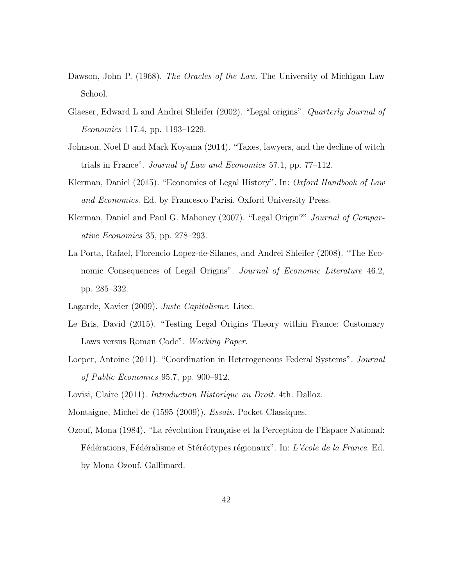- Dawson, John P. (1968). The Oracles of the Law. The University of Michigan Law School.
- Glaeser, Edward L and Andrei Shleifer (2002). "Legal origins". Quarterly Journal of Economics 117.4, pp. 1193–1229.
- Johnson, Noel D and Mark Koyama (2014). "Taxes, lawyers, and the decline of witch trials in France". Journal of Law and Economics 57.1, pp. 77–112.
- Klerman, Daniel (2015). "Economics of Legal History". In: Oxford Handbook of Law and Economics. Ed. by Francesco Parisi. Oxford University Press.
- Klerman, Daniel and Paul G. Mahoney (2007). "Legal Origin?" *Journal of Compar*ative Economics 35, pp. 278–293.
- La Porta, Rafael, Florencio Lopez-de-Silanes, and Andrei Shleifer (2008). "The Economic Consequences of Legal Origins". Journal of Economic Literature 46.2, pp. 285–332.
- Lagarde, Xavier (2009). Juste Capitalisme. Litec.
- Le Bris, David (2015). "Testing Legal Origins Theory within France: Customary Laws versus Roman Code". Working Paper.
- Loeper, Antoine (2011). "Coordination in Heterogeneous Federal Systems". *Journal* of Public Economics 95.7, pp. 900–912.

Lovisi, Claire (2011). *Introduction Historique au Droit*. 4th. Dalloz.

Montaigne, Michel de (1595 (2009)). Essais. Pocket Classiques.

Ozouf, Mona (1984). "La révolution Française et la Perception de l'Espace National: Fédérations, Fédéralisme et Stéréotypes régionaux". In: L'école de la France. Ed. by Mona Ozouf. Gallimard.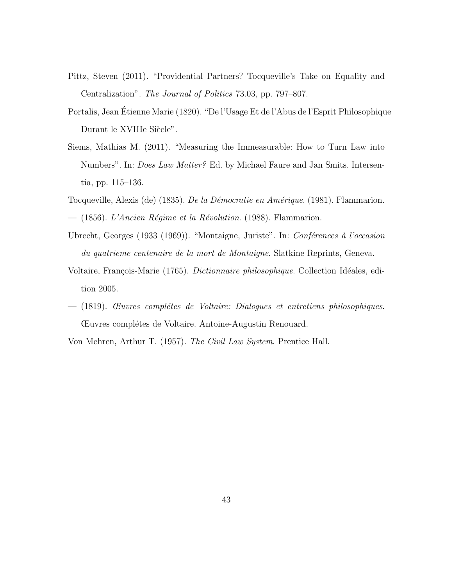- Pittz, Steven (2011). "Providential Partners? Tocqueville's Take on Equality and Centralization". The Journal of Politics 73.03, pp. 797–807.
- Portalis, Jean Étienne Marie (1820). "De l'Usage Et de l'Abus de l'Esprit Philosophique Durant le XVIIIe Siècle".
- Siems, Mathias M. (2011). "Measuring the Immeasurable: How to Turn Law into Numbers". In: Does Law Matter? Ed. by Michael Faure and Jan Smits. Intersentia, pp. 115–136.
- Tocqueville, Alexis (de) (1835). De la Démocratie en Amérique. (1981). Flammarion. — (1856). L'Ancien Régime et la Révolution. (1988). Flammarion.
- Ubrecht, Georges (1933 (1969)). "Montaigne, Juriste". In: Conférences à l'occasion du quatrieme centenaire de la mort de Montaigne. Slatkine Reprints, Geneva.
- Voltaire, François-Marie (1765). *Dictionnaire philosophique*. Collection Idéales, edition 2005.
- $-$  (1819). *Euvres complétes de Voltaire: Dialogues et entretiens philosophiques.* Œuvres compl´etes de Voltaire. Antoine-Augustin Renouard.

Von Mehren, Arthur T. (1957). The Civil Law System. Prentice Hall.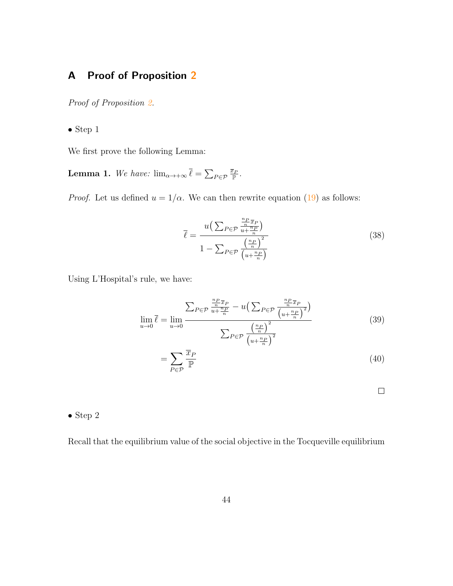### A Proof of Proposition 2

Proof of Proposition 2.

 $\bullet$  Step  $1$ 

We first prove the following Lemma:

**Lemma 1.** We have:  $\lim_{\alpha \to +\infty} \overline{\ell} = \sum_{P \in \mathcal{P}} \frac{\overline{x}_P}{P}.$ 

*Proof.* Let us defined  $u = 1/\alpha$ . We can then rewrite equation (19) as follows:

$$
\overline{\ell} = \frac{u\left(\sum_{P \in \mathcal{P}} \frac{\frac{n_P}{n} \overline{x}_P}{u + \frac{n_P}{n}}\right)}{1 - \sum_{P \in \mathcal{P}} \frac{\left(\frac{n_P}{n}\right)^2}{\left(u + \frac{n_P}{n}\right)}}
$$
(38)

Using L'Hospital's rule, we have:

$$
\lim_{u \to 0} \overline{\ell} = \lim_{u \to 0} \frac{\sum_{P \in \mathcal{P}} \frac{\frac{n_P}{n} \overline{x}_P}{u + \frac{n_P}{n}} - u \left( \sum_{P \in \mathcal{P}} \frac{\frac{n_P}{n} \overline{x}_P}{\left(u + \frac{n_P}{n}\right)^2} \right)}{\sum_{P \in \mathcal{P}} \frac{\left(\frac{n_P}{n}\right)^2}{\left(u + \frac{n_P}{n}\right)^2}}
$$
(39)

$$
=\sum_{P\in\mathcal{P}}\frac{\overline{x}_P}{\mathbb{P}}\tag{40}
$$

 $\Box$ 

#### • Step 2

Recall that the equilibrium value of the social objective in the Tocqueville equilibrium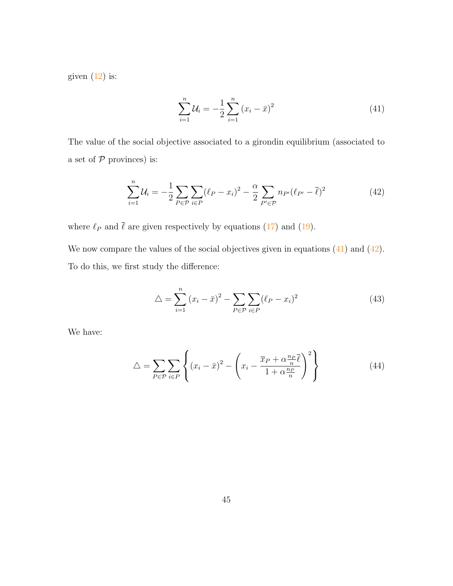given  $(12)$  is:

$$
\sum_{i=1}^{n} \mathcal{U}_i = -\frac{1}{2} \sum_{i=1}^{n} (x_i - \bar{x})^2
$$
 (41)

The value of the social objective associated to a girondin equilibrium (associated to a set of  $P$  provinces) is:

$$
\sum_{i=1}^{n} \mathcal{U}_i = -\frac{1}{2} \sum_{P \in \mathcal{P}} \sum_{i \in P} (\ell_P - x_i)^2 - \frac{\alpha}{2} \sum_{P' \in \mathcal{P}} n_{P'} (\ell_{P'} - \bar{\ell})^2
$$
(42)

where  $\ell_P$  and  $\bar{\ell}$  are given respectively by equations (17) and (19).

We now compare the values of the social objectives given in equations  $(41)$  and  $(42)$ . To do this, we first study the difference:

$$
\Delta = \sum_{i=1}^{n} (x_i - \bar{x})^2 - \sum_{P \in \mathcal{P}} \sum_{i \in P} (\ell_P - x_i)^2
$$
\n(43)

We have:

$$
\Delta = \sum_{P \in \mathcal{P}} \sum_{i \in P} \left\{ (x_i - \bar{x})^2 - \left( x_i - \frac{\overline{x}_P + \alpha \frac{n_P}{n} \overline{\ell}}{1 + \alpha \frac{n_P}{n}} \right)^2 \right\}
$$
(44)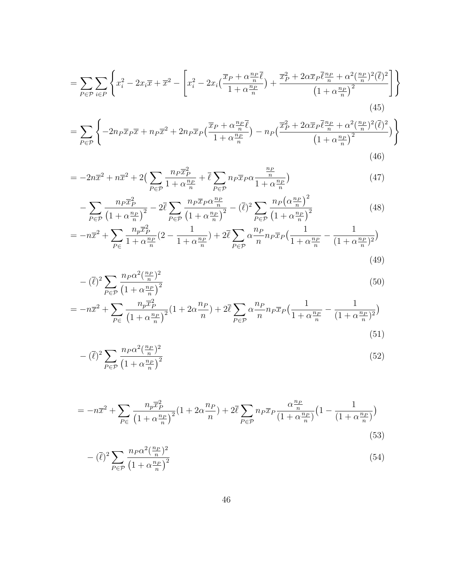$$
=\sum_{P\in\mathcal{P}}\sum_{i\in P}\left\{x_i^2 - 2x_i\overline{x} + \overline{x}^2 - \left[x_i^2 - 2x_i\left(\frac{\overline{x}_P + \alpha\frac{n_P}{n}\overline{\ell}}{1 + \alpha\frac{n_P}{n}}\right) + \frac{\overline{x}_P^2 + 2\alpha\overline{x}_P\overline{\ell}\frac{n_P}{n} + \alpha^2(\frac{n_P}{n})^2(\overline{\ell})^2}{\left(1 + \alpha\frac{n_P}{n}\right)^2}\right]\right\}
$$
(45)

$$
= \sum_{P \in \mathcal{P}} \left\{ -2n_P \overline{x}_P \overline{x} + n_P \overline{x}^2 + 2n_P \overline{x}_P \left( \frac{\overline{x}_P + \alpha \frac{n_P}{n} \overline{\ell}}{1 + \alpha \frac{n_P}{n}} \right) - n_P \left( \frac{\overline{x}_P^2 + 2\alpha \overline{x}_P \overline{\ell} \frac{n_P}{n} + \alpha^2 (\frac{n_P}{n})^2 (\overline{\ell})^2}{\left(1 + \alpha \frac{n_P}{n}\right)^2} \right) \right\}
$$
(46)

$$
= -2n\overline{x}^2 + n\overline{x}^2 + 2\left(\sum_{P \in \mathcal{P}} \frac{n_P \overline{x}_P^2}{1 + \alpha \frac{n_P}{n}} + \overline{\ell} \sum_{P \in \mathcal{P}} n_P \overline{x}_P \alpha \frac{\frac{n_P}{n}}{1 + \alpha \frac{n_P}{n}}\right) \tag{47}
$$

$$
-\sum_{P \in \mathcal{P}} \frac{n_P \overline{x}_P^2}{\left(1 + \alpha \frac{n_P}{n}\right)^2} - 2\overline{\ell} \sum_{P \in \mathcal{P}} \frac{n_P \overline{x}_P \alpha \frac{n_P}{n}}{\left(1 + \alpha \frac{n_P}{n}\right)^2} - (\overline{\ell})^2 \sum_{P \in \mathcal{P}} \frac{n_P \left(\alpha \frac{n_P}{n}\right)^2}{\left(1 + \alpha \frac{n_P}{n}\right)^2}
$$
(48)

$$
= -n\overline{x}^2 + \sum_{P \in \mathcal{I}} \frac{n_p \overline{x}_P^2}{1 + \alpha \frac{n_P}{n}} (2 - \frac{1}{1 + \alpha \frac{n_P}{n}}) + 2\overline{\ell} \sum_{P \in \mathcal{P}} \alpha \frac{n_P}{n} n_P \overline{x}_P \left(\frac{1}{1 + \alpha \frac{n_P}{n}} - \frac{1}{(1 + \alpha \frac{n_P}{n})^2}\right)
$$
\n(49)

$$
-(\overline{\ell})^2 \sum_{P \in \mathcal{P}} \frac{n_P \alpha^2 (\frac{n_P}{n})^2}{\left(1 + \alpha \frac{n_P}{n}\right)^2} \tag{50}
$$

$$
= -n\overline{x}^2 + \sum_{P \in} \frac{n_p \overline{x}_P^2}{\left(1 + \alpha \frac{n_P}{n}\right)^2} (1 + 2\alpha \frac{n_P}{n}) + 2\overline{\ell} \sum_{P \in \mathcal{P}} \alpha \frac{n_P}{n} n_P \overline{x}_P \left(\frac{1}{1 + \alpha \frac{n_P}{n}} - \frac{1}{(1 + \alpha \frac{n_P}{n})^2}\right)
$$
\n(51)

$$
-(\overline{\ell})^2 \sum_{P \in \mathcal{P}} \frac{n_P \alpha^2 (\frac{n_P}{n})^2}{\left(1 + \alpha \frac{n_P}{n}\right)^2} \tag{52}
$$

$$
= -n\overline{x}^2 + \sum_{P \in} \frac{n_p \overline{x}_P^2}{\left(1 + \alpha \frac{n_P}{n}\right)^2} (1 + 2\alpha \frac{n_P}{n}) + 2\overline{\ell} \sum_{P \in \mathcal{P}} n_P \overline{x}_P \frac{\alpha \frac{n_P}{n}}{\left(1 + \alpha \frac{n_P}{n}\right)} \left(1 - \frac{1}{\left(1 + \alpha \frac{n_P}{n}\right)}\right)
$$
\n(53)

$$
-(\overline{\ell})^2 \sum_{P \in \mathcal{P}} \frac{n_P \alpha^2 (\frac{n_P}{n})^2}{\left(1 + \alpha \frac{n_P}{n}\right)^2} \tag{54}
$$